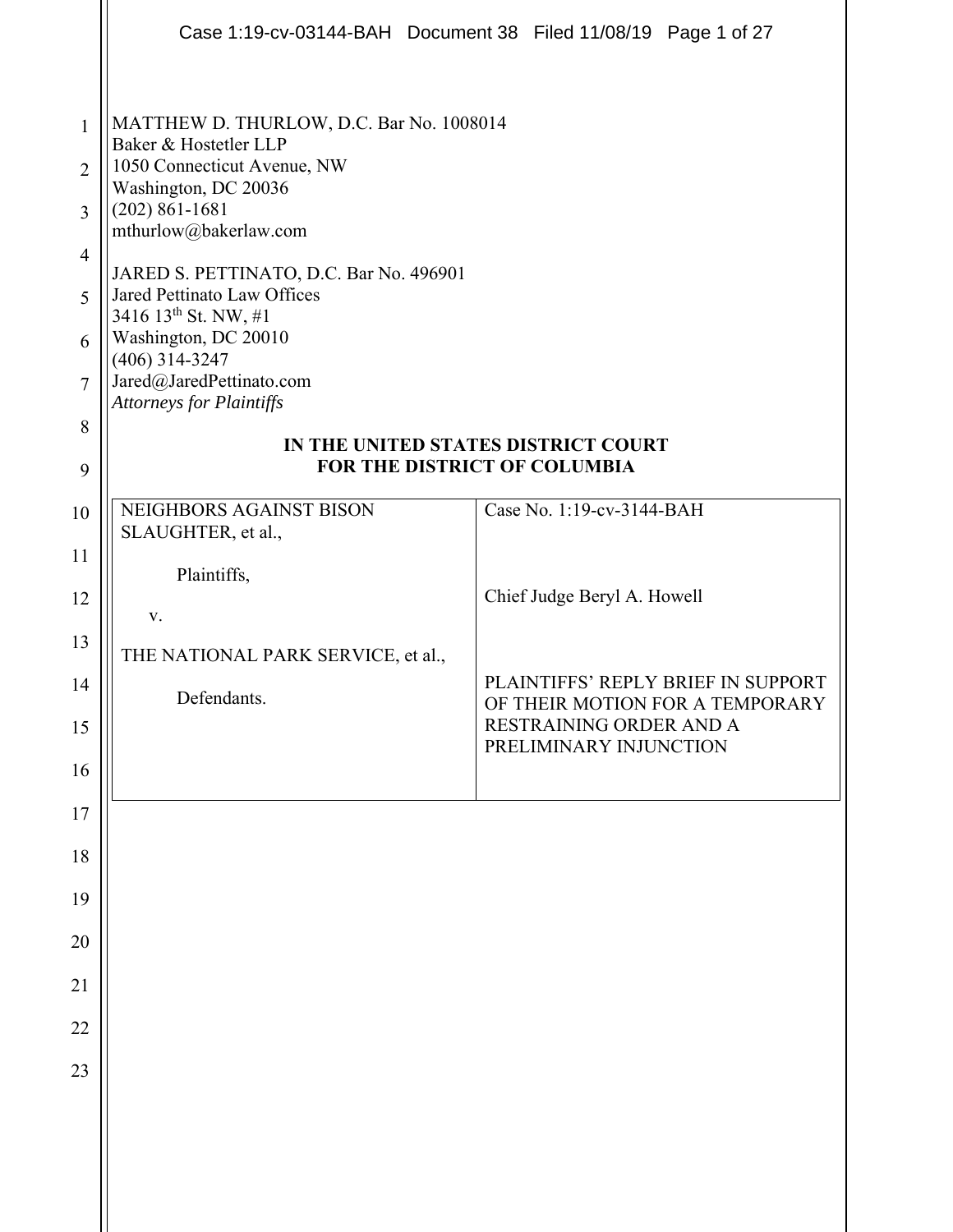|                                                                                             |                                                                                                                                                                                                                                                                                                                                                                                                  | Case 1:19-cv-03144-BAH Document 38 Filed 11/08/19 Page 1 of 27        |
|---------------------------------------------------------------------------------------------|--------------------------------------------------------------------------------------------------------------------------------------------------------------------------------------------------------------------------------------------------------------------------------------------------------------------------------------------------------------------------------------------------|-----------------------------------------------------------------------|
| $\mathbf{1}$<br>$\overline{2}$<br>3<br>$\overline{4}$<br>5<br>6<br>$\overline{7}$<br>8<br>9 | MATTHEW D. THURLOW, D.C. Bar No. 1008014<br>Baker & Hostetler LLP<br>1050 Connecticut Avenue, NW<br>Washington, DC 20036<br>$(202) 861 - 1681$<br>mthurlow@bakerlaw.com<br>JARED S. PETTINATO, D.C. Bar No. 496901<br>Jared Pettinato Law Offices<br>3416 13 <sup>th</sup> St. NW, #1<br>Washington, DC 20010<br>$(406)$ 314-3247<br>Jared@JaredPettinato.com<br><b>Attorneys for Plaintiffs</b> | IN THE UNITED STATES DISTRICT COURT<br>FOR THE DISTRICT OF COLUMBIA   |
| 10                                                                                          | NEIGHBORS AGAINST BISON                                                                                                                                                                                                                                                                                                                                                                          | Case No. 1:19-cv-3144-BAH                                             |
| 11                                                                                          | SLAUGHTER, et al.,                                                                                                                                                                                                                                                                                                                                                                               |                                                                       |
| 12                                                                                          | Plaintiffs,<br>V.                                                                                                                                                                                                                                                                                                                                                                                | Chief Judge Beryl A. Howell                                           |
| 13                                                                                          | THE NATIONAL PARK SERVICE, et al.,                                                                                                                                                                                                                                                                                                                                                               |                                                                       |
| 14                                                                                          | Defendants.                                                                                                                                                                                                                                                                                                                                                                                      | PLAINTIFFS' REPLY BRIEF IN SUPPORT<br>OF THEIR MOTION FOR A TEMPORARY |
| 15                                                                                          |                                                                                                                                                                                                                                                                                                                                                                                                  | RESTRAINING ORDER AND A<br>PRELIMINARY INJUNCTION                     |
| 16                                                                                          |                                                                                                                                                                                                                                                                                                                                                                                                  |                                                                       |
| 17                                                                                          |                                                                                                                                                                                                                                                                                                                                                                                                  |                                                                       |
| 18                                                                                          |                                                                                                                                                                                                                                                                                                                                                                                                  |                                                                       |
| 19                                                                                          |                                                                                                                                                                                                                                                                                                                                                                                                  |                                                                       |
| 20                                                                                          |                                                                                                                                                                                                                                                                                                                                                                                                  |                                                                       |
| 21                                                                                          |                                                                                                                                                                                                                                                                                                                                                                                                  |                                                                       |
| 22<br>23                                                                                    |                                                                                                                                                                                                                                                                                                                                                                                                  |                                                                       |
|                                                                                             |                                                                                                                                                                                                                                                                                                                                                                                                  |                                                                       |
|                                                                                             |                                                                                                                                                                                                                                                                                                                                                                                                  |                                                                       |
|                                                                                             |                                                                                                                                                                                                                                                                                                                                                                                                  |                                                                       |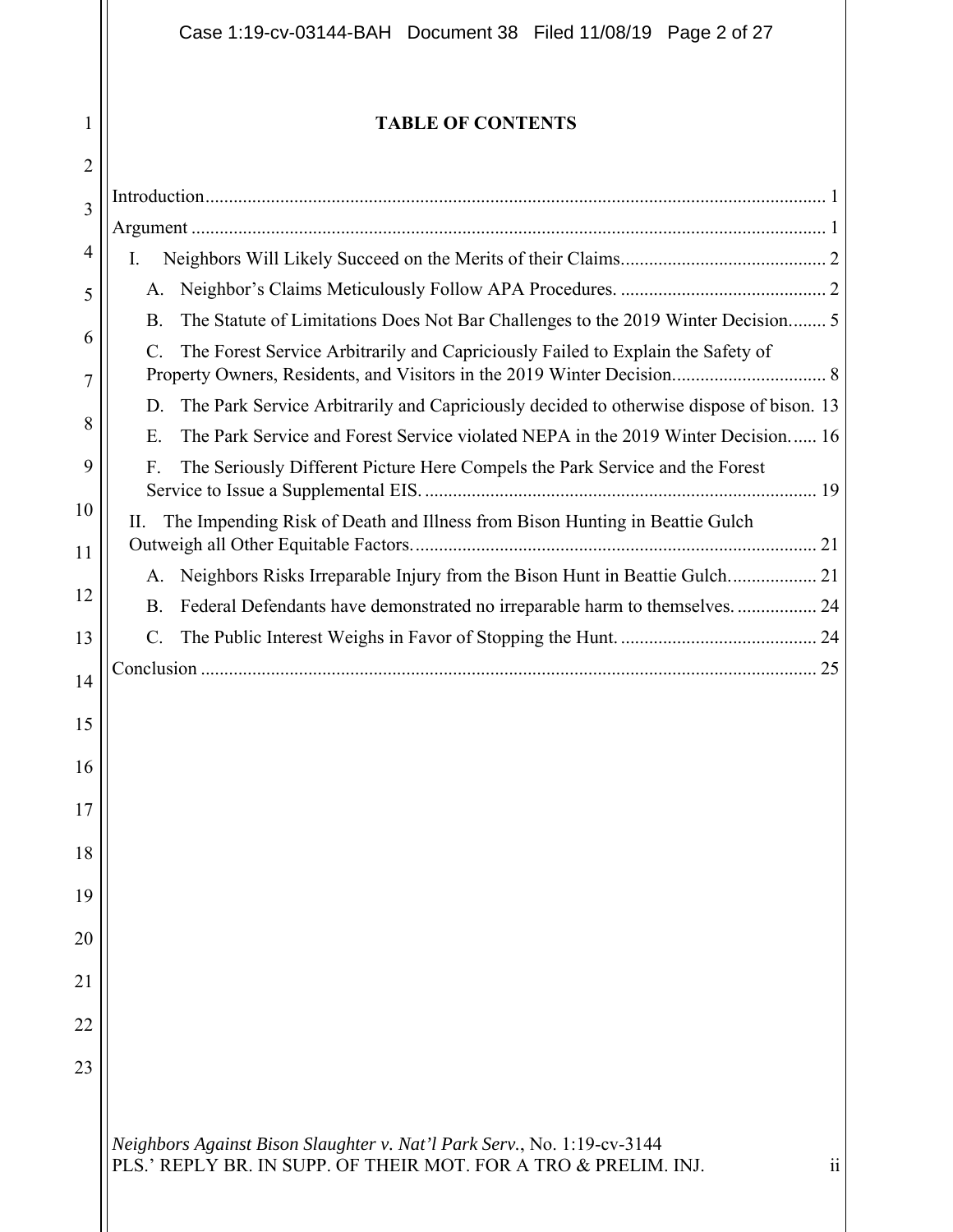## **TABLE OF CONTENTS**

1

| $\overline{2}$ |                                                                                               |
|----------------|-----------------------------------------------------------------------------------------------|
| 3              |                                                                                               |
|                |                                                                                               |
| $\overline{4}$ | I.                                                                                            |
| 5              | А.                                                                                            |
| 6              | The Statute of Limitations Does Not Bar Challenges to the 2019 Winter Decision 5<br><b>B.</b> |
| 7              | The Forest Service Arbitrarily and Capriciously Failed to Explain the Safety of<br>$C$ .      |
|                | The Park Service Arbitrarily and Capriciously decided to otherwise dispose of bison. 13<br>D. |
| 8              | The Park Service and Forest Service violated NEPA in the 2019 Winter Decision 16<br>E.        |
| 9              | The Seriously Different Picture Here Compels the Park Service and the Forest<br>F.            |
| 10<br>11       | The Impending Risk of Death and Illness from Bison Hunting in Beattie Gulch<br>П.             |
|                | А.                                                                                            |
| 12             | Federal Defendants have demonstrated no irreparable harm to themselves.  24<br><b>B.</b>      |
| 13             | C.                                                                                            |
| 14             |                                                                                               |
|                |                                                                                               |
| 15             |                                                                                               |
| 16             |                                                                                               |
| 17             |                                                                                               |
| 18             |                                                                                               |
| 19             |                                                                                               |
| 20             |                                                                                               |
| 21             |                                                                                               |
| 22             |                                                                                               |
| 23             |                                                                                               |
|                |                                                                                               |
|                | Neighbors Against Bison Slaughter v. Nat'l Park Serv., No. 1:19-cv-3144                       |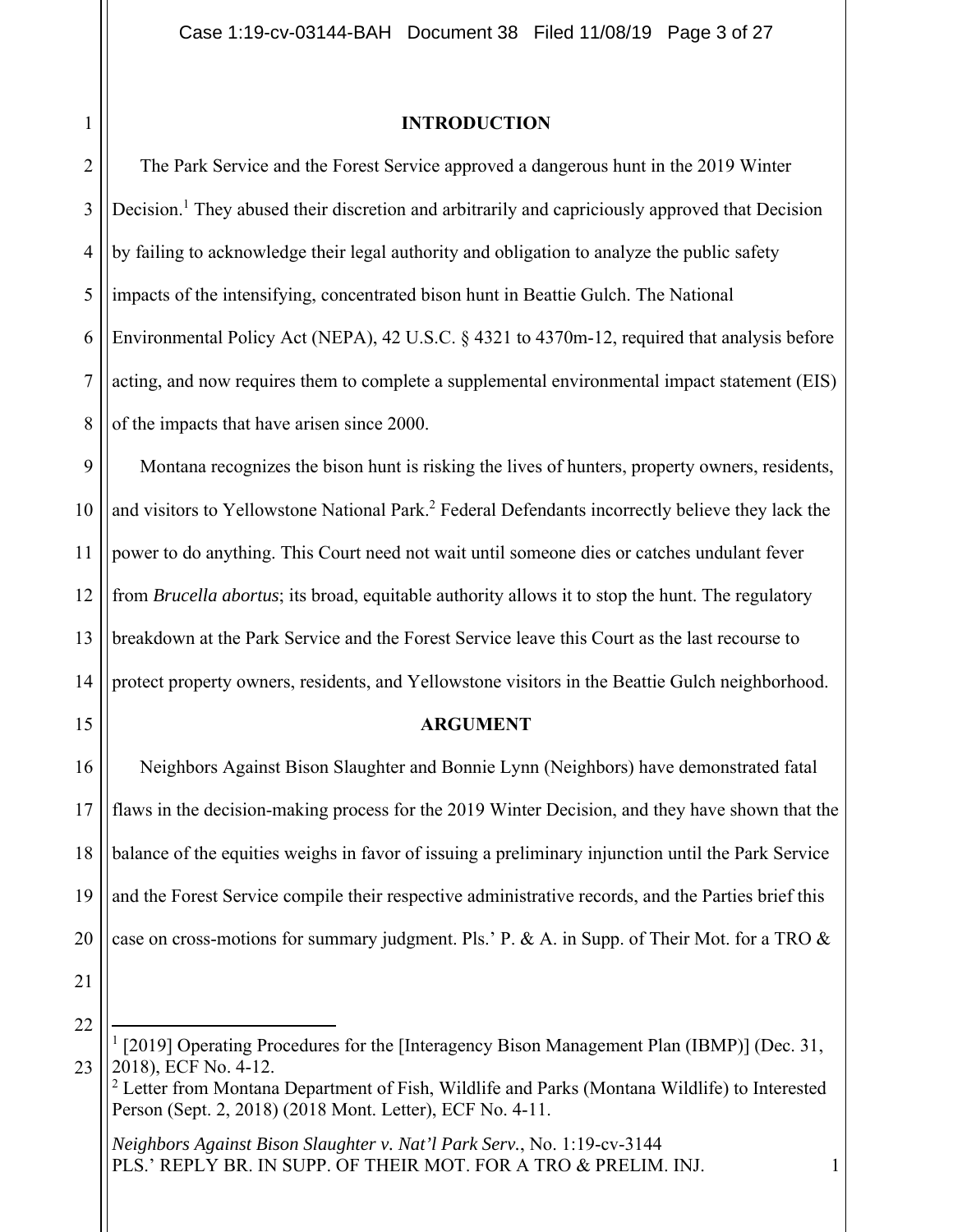1

### **INTRODUCTION**

2 3 4 5 6 7 8 The Park Service and the Forest Service approved a dangerous hunt in the 2019 Winter Decision.<sup>1</sup> They abused their discretion and arbitrarily and capriciously approved that Decision by failing to acknowledge their legal authority and obligation to analyze the public safety impacts of the intensifying, concentrated bison hunt in Beattie Gulch. The National Environmental Policy Act (NEPA), 42 U.S.C. § 4321 to 4370m-12, required that analysis before acting, and now requires them to complete a supplemental environmental impact statement (EIS) of the impacts that have arisen since 2000.

9 10 11 12 13 14 Montana recognizes the bison hunt is risking the lives of hunters, property owners, residents, and visitors to Yellowstone National Park.<sup>2</sup> Federal Defendants incorrectly believe they lack the power to do anything. This Court need not wait until someone dies or catches undulant fever from *Brucella abortus*; its broad, equitable authority allows it to stop the hunt. The regulatory breakdown at the Park Service and the Forest Service leave this Court as the last recourse to protect property owners, residents, and Yellowstone visitors in the Beattie Gulch neighborhood.

### **ARGUMENT**

16 17 18 19 20 Neighbors Against Bison Slaughter and Bonnie Lynn (Neighbors) have demonstrated fatal flaws in the decision-making process for the 2019 Winter Decision, and they have shown that the balance of the equities weighs in favor of issuing a preliminary injunction until the Park Service and the Forest Service compile their respective administrative records, and the Parties brief this case on cross-motions for summary judgment. Pls.' P. & A. in Supp. of Their Mot. for a TRO &

21

15

22 23 <sup>1</sup> [2019] Operating Procedures for the [Interagency Bison Management Plan (IBMP)] (Dec. 31, 2018), ECF No. 4-12.

 $2$  Letter from Montana Department of Fish, Wildlife and Parks (Montana Wildlife) to Interested Person (Sept. 2, 2018) (2018 Mont. Letter), ECF No. 4-11.

*Neighbors Against Bison Slaughter v. Nat'l Park Serv.*, No. 1:19-cv-3144 PLS.' REPLY BR. IN SUPP. OF THEIR MOT. FOR A TRO & PRELIM. INJ.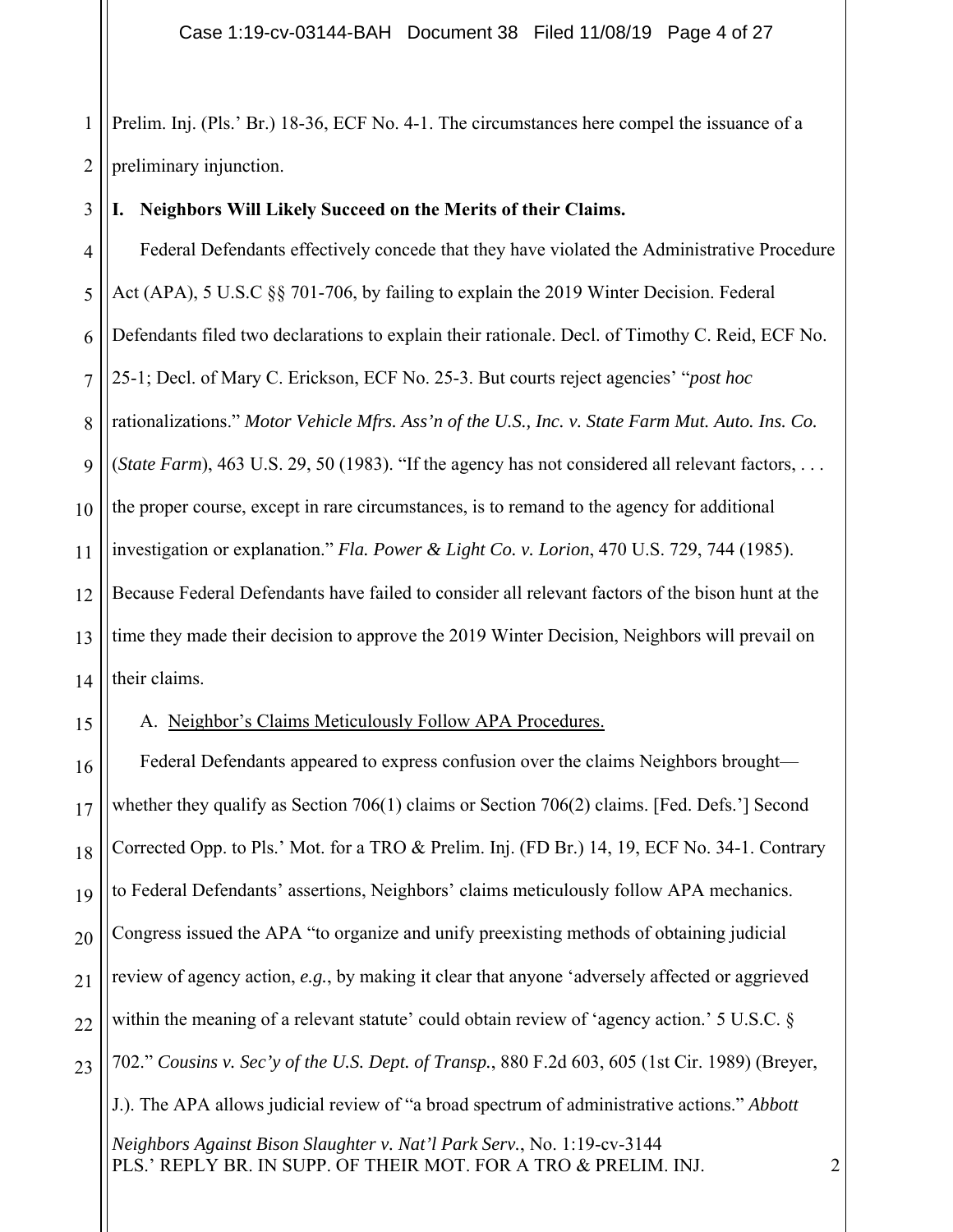1 2 Prelim. Inj. (Pls.' Br.) 18-36, ECF No. 4-1. The circumstances here compel the issuance of a preliminary injunction.

#### 3 **I. Neighbors Will Likely Succeed on the Merits of their Claims.**

4 5 6 7 8  $\overline{Q}$ 10 11 12 13 14 Federal Defendants effectively concede that they have violated the Administrative Procedure Act (APA), 5 U.S.C §§ 701-706, by failing to explain the 2019 Winter Decision. Federal Defendants filed two declarations to explain their rationale. Decl. of Timothy C. Reid, ECF No. 25-1; Decl. of Mary C. Erickson, ECF No. 25-3. But courts reject agencies' "*post hoc* rationalizations." *Motor Vehicle Mfrs. Ass'n of the U.S., Inc. v. State Farm Mut. Auto. Ins. Co.* (*State Farm*), 463 U.S. 29, 50 (1983). "If the agency has not considered all relevant factors, . . . the proper course, except in rare circumstances, is to remand to the agency for additional investigation or explanation." *Fla. Power & Light Co. v. Lorion*, 470 U.S. 729, 744 (1985). Because Federal Defendants have failed to consider all relevant factors of the bison hunt at the time they made their decision to approve the 2019 Winter Decision, Neighbors will prevail on their claims.

15

A. Neighbor's Claims Meticulously Follow APA Procedures.

16 17 18 19 20 21 22 23 *Neighbors Against Bison Slaughter v. Nat'l Park Serv.*, No. 1:19-cv-3144 PLS.' REPLY BR. IN SUPP. OF THEIR MOT. FOR A TRO & PRELIM. INJ. Federal Defendants appeared to express confusion over the claims Neighbors brought whether they qualify as Section 706(1) claims or Section 706(2) claims. [Fed. Defs.'] Second Corrected Opp. to Pls.' Mot. for a TRO & Prelim. Inj. (FD Br.) 14, 19, ECF No. 34-1. Contrary to Federal Defendants' assertions, Neighbors' claims meticulously follow APA mechanics. Congress issued the APA "to organize and unify preexisting methods of obtaining judicial review of agency action, *e.g.*, by making it clear that anyone 'adversely affected or aggrieved within the meaning of a relevant statute' could obtain review of 'agency action.' 5 U.S.C. § 702." *Cousins v. Sec'y of the U.S. Dept. of Transp.*, 880 F.2d 603, 605 (1st Cir. 1989) (Breyer, J.). The APA allows judicial review of "a broad spectrum of administrative actions." *Abbott*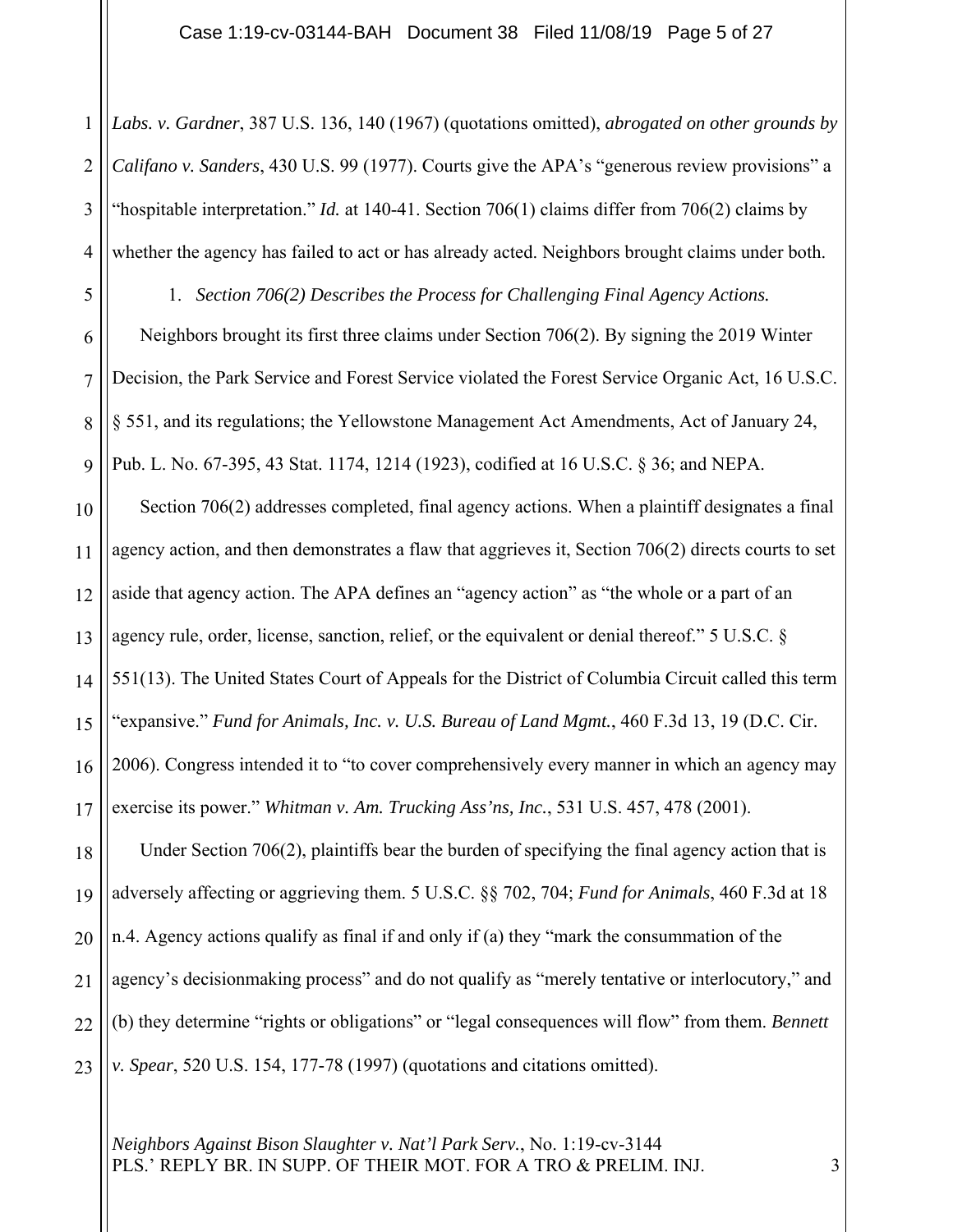1 2 3 4 5 6 7 8  $\overline{Q}$ 10 11 12 13 14 15 16 17 18 19 20 21 *Labs. v. Gardner*, 387 U.S. 136, 140 (1967) (quotations omitted), *abrogated on other grounds by Califano v. Sanders*, 430 U.S. 99 (1977). Courts give the APA's "generous review provisions" a "hospitable interpretation." *Id.* at 140-41. Section 706(1) claims differ from 706(2) claims by whether the agency has failed to act or has already acted. Neighbors brought claims under both. 1. *Section 706(2) Describes the Process for Challenging Final Agency Actions.*  Neighbors brought its first three claims under Section 706(2). By signing the 2019 Winter Decision, the Park Service and Forest Service violated the Forest Service Organic Act, 16 U.S.C. § 551, and its regulations; the Yellowstone Management Act Amendments, Act of January 24, Pub. L. No. 67-395, 43 Stat. 1174, 1214 (1923), codified at 16 U.S.C. § 36; and NEPA. Section 706(2) addresses completed, final agency actions. When a plaintiff designates a final agency action, and then demonstrates a flaw that aggrieves it, Section 706(2) directs courts to set aside that agency action. The APA defines an "agency action" as "the whole or a part of an agency rule, order, license, sanction, relief, or the equivalent or denial thereof." 5 U.S.C. § 551(13). The United States Court of Appeals for the District of Columbia Circuit called this term 'expansive." *Fund for Animals, Inc. v. U.S. Bureau of Land Mgmt.*, 460 F.3d 13, 19 (D.C. Cir. 2006). Congress intended it to "to cover comprehensively every manner in which an agency may exercise its power." *Whitman v. Am. Trucking Ass'ns, Inc.*, 531 U.S. 457, 478 (2001). Under Section 706(2), plaintiffs bear the burden of specifying the final agency action that is adversely affecting or aggrieving them. 5 U.S.C. §§ 702, 704; *Fund for Animals*, 460 F.3d at 18 n.4. Agency actions qualify as final if and only if (a) they "mark the consummation of the agency's decisionmaking process" and do not qualify as "merely tentative or interlocutory," and

23 *v. Spear*, 520 U.S. 154, 177-78 (1997) (quotations and citations omitted).

22

*Neighbors Against Bison Slaughter v. Nat'l Park Serv.*, No. 1:19-cv-3144 PLS.' REPLY BR. IN SUPP. OF THEIR MOT. FOR A TRO & PRELIM. INJ.

(b) they determine "rights or obligations" or "legal consequences will flow" from them. *Bennett*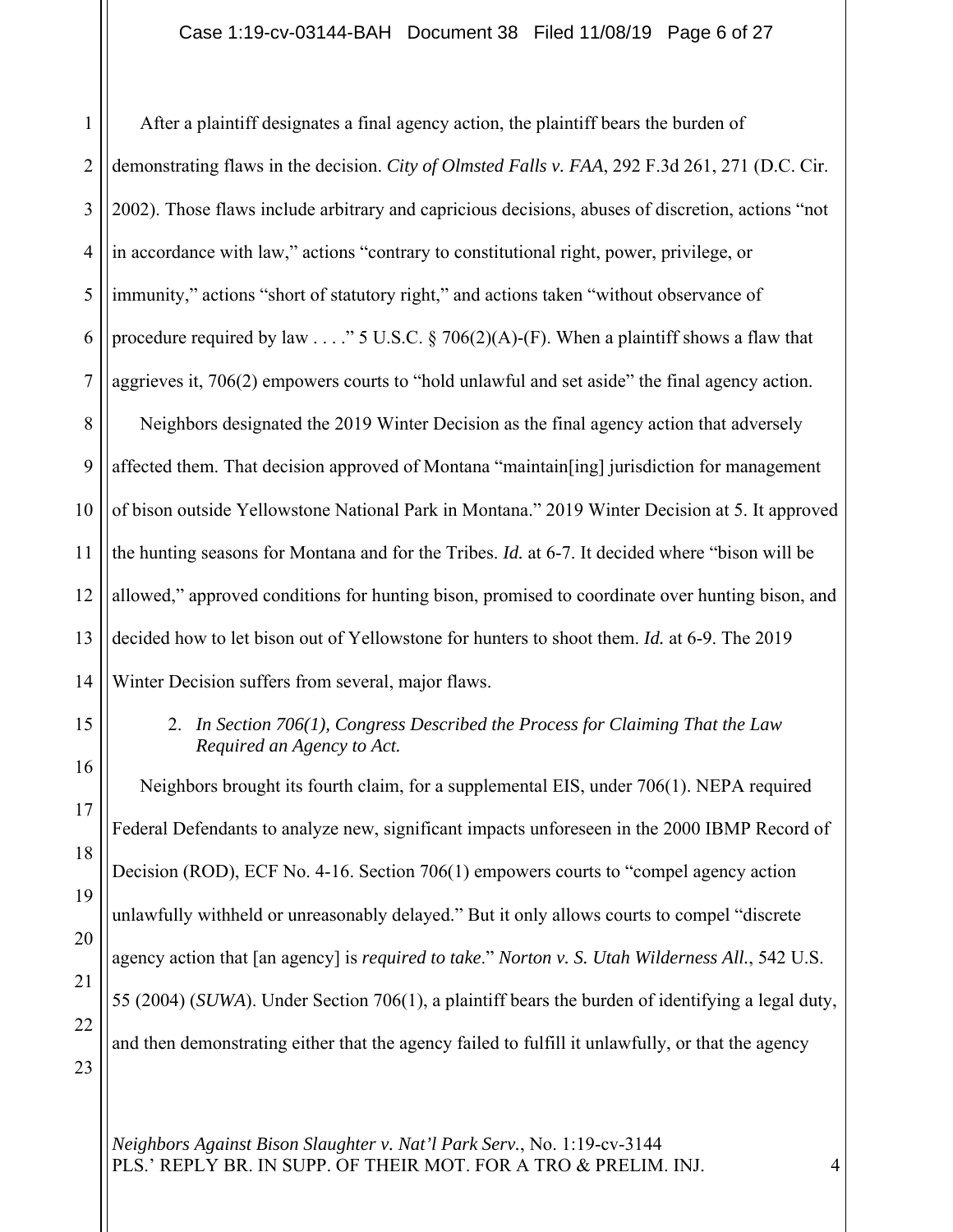1 2 3 4 5 6 7 8 9 10 11 12 13 14 After a plaintiff designates a final agency action, the plaintiff bears the burden of demonstrating flaws in the decision. *City of Olmsted Falls v. FAA*, 292 F.3d 261, 271 (D.C. Cir. 2002). Those flaws include arbitrary and capricious decisions, abuses of discretion, actions "not in accordance with law," actions "contrary to constitutional right, power, privilege, or immunity," actions "short of statutory right," and actions taken "without observance of procedure required by law  $\ldots$ ." 5 U.S.C. § 706(2)(A)-(F). When a plaintiff shows a flaw that aggrieves it, 706(2) empowers courts to "hold unlawful and set aside" the final agency action. Neighbors designated the 2019 Winter Decision as the final agency action that adversely affected them. That decision approved of Montana "maintain[ing] jurisdiction for management of bison outside Yellowstone National Park in Montana." 2019 Winter Decision at 5. It approved the hunting seasons for Montana and for the Tribes. *Id.* at 6-7. It decided where "bison will be allowed," approved conditions for hunting bison, promised to coordinate over hunting bison, and decided how to let bison out of Yellowstone for hunters to shoot them. *Id.* at 6-9. The 2019 Winter Decision suffers from several, major flaws.

# 15

16

17

18

19

20

21

22

2. *In Section 706(1), Congress Described the Process for Claiming That the Law Required an Agency to Act.* 

Neighbors brought its fourth claim, for a supplemental EIS, under 706(1). NEPA required Federal Defendants to analyze new, significant impacts unforeseen in the 2000 IBMP Record of Decision (ROD), ECF No. 4-16. Section 706(1) empowers courts to "compel agency action unlawfully withheld or unreasonably delayed." But it only allows courts to compel "discrete agency action that [an agency] is *required to take*." *Norton v. S. Utah Wilderness All.*, 542 U.S. 55 (2004) (*SUWA*). Under Section 706(1), a plaintiff bears the burden of identifying a legal duty, and then demonstrating either that the agency failed to fulfill it unlawfully, or that the agency

<sup>23</sup>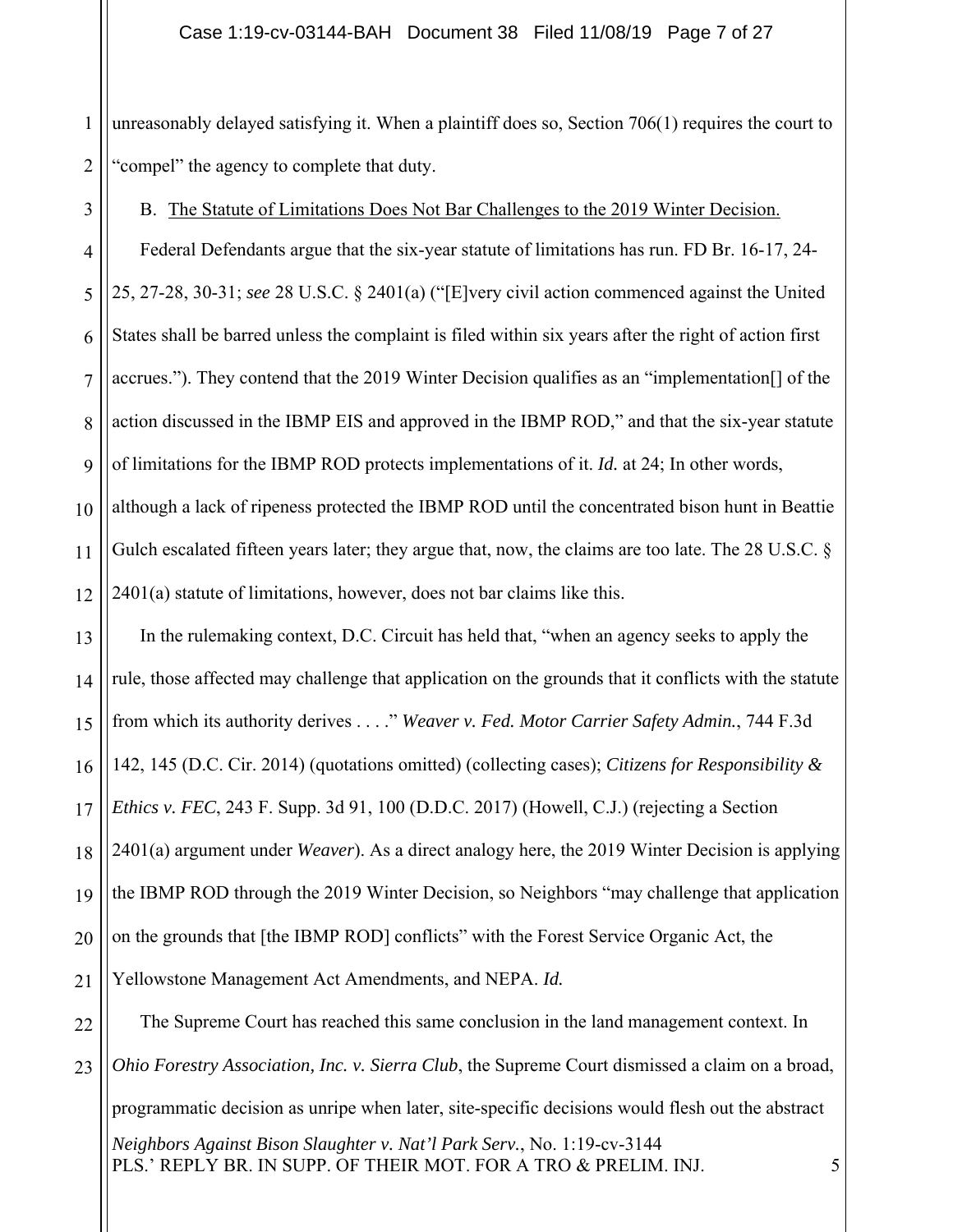1 2 unreasonably delayed satisfying it. When a plaintiff does so, Section 706(1) requires the court to "compel" the agency to complete that duty.

B. The Statute of Limitations Does Not Bar Challenges to the 2019 Winter Decision.

3

4 5 6 7 8  $\overline{Q}$ Federal Defendants argue that the six-year statute of limitations has run. FD Br. 16-17, 24- 25, 27-28, 30-31; *see* 28 U.S.C. § 2401(a) ("[E]very civil action commenced against the United States shall be barred unless the complaint is filed within six years after the right of action first accrues."). They contend that the 2019 Winter Decision qualifies as an "implementation[] of the action discussed in the IBMP EIS and approved in the IBMP ROD," and that the six-year statute of limitations for the IBMP ROD protects implementations of it. *Id.* at 24; In other words,

10 11 12 although a lack of ripeness protected the IBMP ROD until the concentrated bison hunt in Beattie Gulch escalated fifteen years later; they argue that, now, the claims are too late. The 28 U.S.C. § 2401(a) statute of limitations, however, does not bar claims like this.

13 14 15 16 17 18 19 20 21 In the rulemaking context, D.C. Circuit has held that, "when an agency seeks to apply the rule, those affected may challenge that application on the grounds that it conflicts with the statute from which its authority derives . . . ." *Weaver v. Fed. Motor Carrier Safety Admin.*, 744 F.3d 142, 145 (D.C. Cir. 2014) (quotations omitted) (collecting cases); *Citizens for Responsibility & Ethics v. FEC*, 243 F. Supp. 3d 91, 100 (D.D.C. 2017) (Howell, C.J.) (rejecting a Section 2401(a) argument under *Weaver*). As a direct analogy here, the 2019 Winter Decision is applying the IBMP ROD through the 2019 Winter Decision, so Neighbors "may challenge that application on the grounds that [the IBMP ROD] conflicts" with the Forest Service Organic Act, the Yellowstone Management Act Amendments, and NEPA. *Id.*

22 23 *Neighbors Against Bison Slaughter v. Nat'l Park Serv.*, No. 1:19-cv-3144 PLS.' REPLY BR. IN SUPP. OF THEIR MOT. FOR A TRO & PRELIM. INJ. The Supreme Court has reached this same conclusion in the land management context. In *Ohio Forestry Association, Inc. v. Sierra Club*, the Supreme Court dismissed a claim on a broad, programmatic decision as unripe when later, site-specific decisions would flesh out the abstract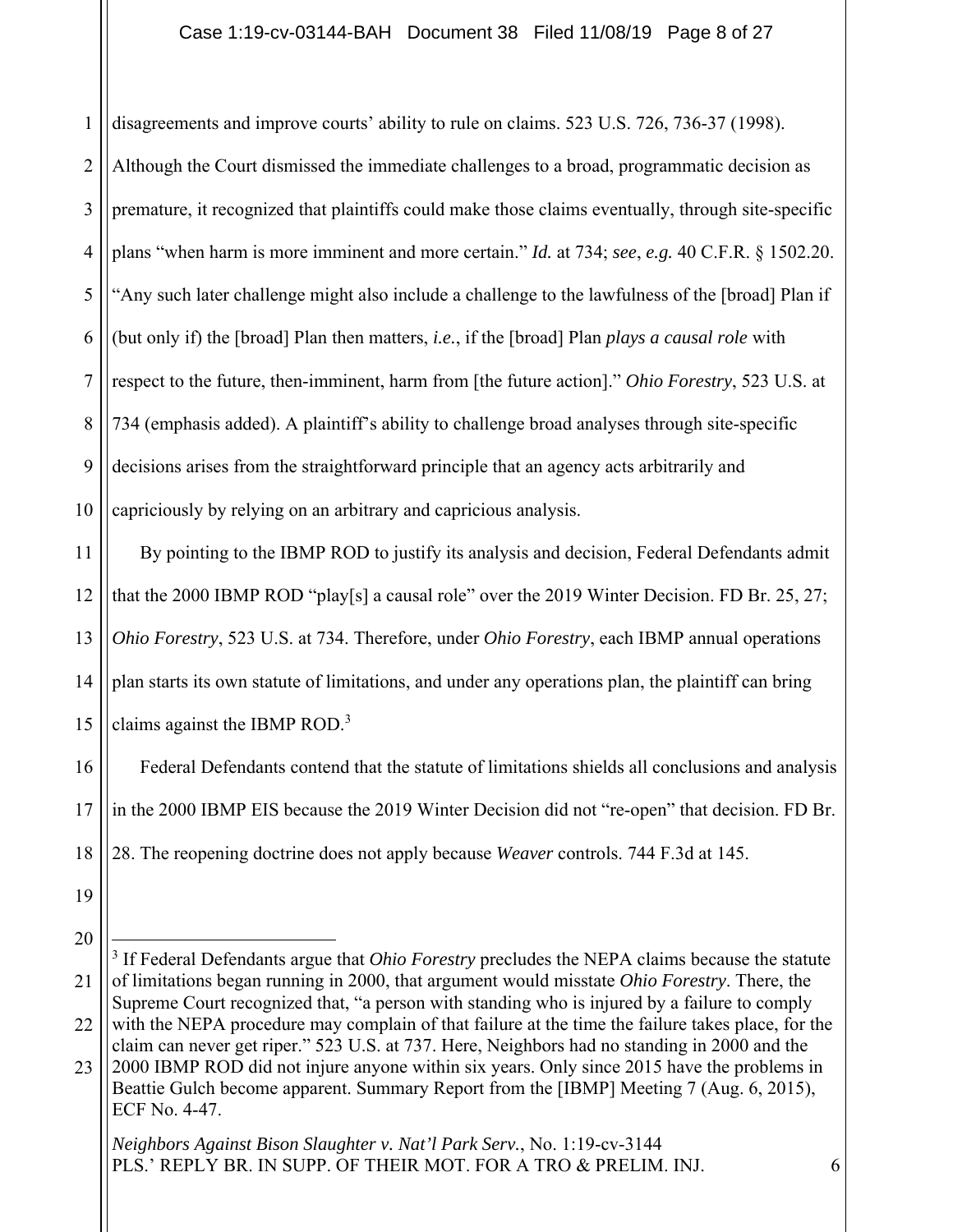### Case 1:19-cv-03144-BAH Document 38 Filed 11/08/19 Page 8 of 27

disagreements and improve courts' ability to rule on claims. 523 U.S. 726, 736-37 (1998).

2 3 4 5 6 7 8 9 10 Although the Court dismissed the immediate challenges to a broad, programmatic decision as premature, it recognized that plaintiffs could make those claims eventually, through site-specific plans "when harm is more imminent and more certain." *Id.* at 734; *see*, *e.g.* 40 C.F.R. § 1502.20. "Any such later challenge might also include a challenge to the lawfulness of the [broad] Plan if (but only if) the [broad] Plan then matters, *i.e.*, if the [broad] Plan *plays a causal role* with respect to the future, then-imminent, harm from [the future action]." *Ohio Forestry*, 523 U.S. at 734 (emphasis added). A plaintiff's ability to challenge broad analyses through site-specific decisions arises from the straightforward principle that an agency acts arbitrarily and capriciously by relying on an arbitrary and capricious analysis.

11 12 13 14 15 By pointing to the IBMP ROD to justify its analysis and decision, Federal Defendants admit that the 2000 IBMP ROD "play[s] a causal role" over the 2019 Winter Decision. FD Br. 25, 27; *Ohio Forestry*, 523 U.S. at 734. Therefore, under *Ohio Forestry*, each IBMP annual operations plan starts its own statute of limitations, and under any operations plan, the plaintiff can bring claims against the IBMP ROD.<sup>3</sup>

16 17 18 Federal Defendants contend that the statute of limitations shields all conclusions and analysis in the 2000 IBMP EIS because the 2019 Winter Decision did not "re-open" that decision. FD Br. 28. The reopening doctrine does not apply because *Weaver* controls. 744 F.3d at 145.

19

1

20

<sup>21</sup> 22 <sup>3</sup> If Federal Defendants argue that *Ohio Forestry* precludes the NEPA claims because the statute of limitations began running in 2000, that argument would misstate *Ohio Forestry*. There, the Supreme Court recognized that, "a person with standing who is injured by a failure to comply with the NEPA procedure may complain of that failure at the time the failure takes place, for the claim can never get riper." 523 U.S. at 737. Here, Neighbors had no standing in 2000 and the

<sup>23</sup> 2000 IBMP ROD did not injure anyone within six years. Only since 2015 have the problems in Beattie Gulch become apparent. Summary Report from the [IBMP] Meeting 7 (Aug. 6, 2015), ECF No. 4-47.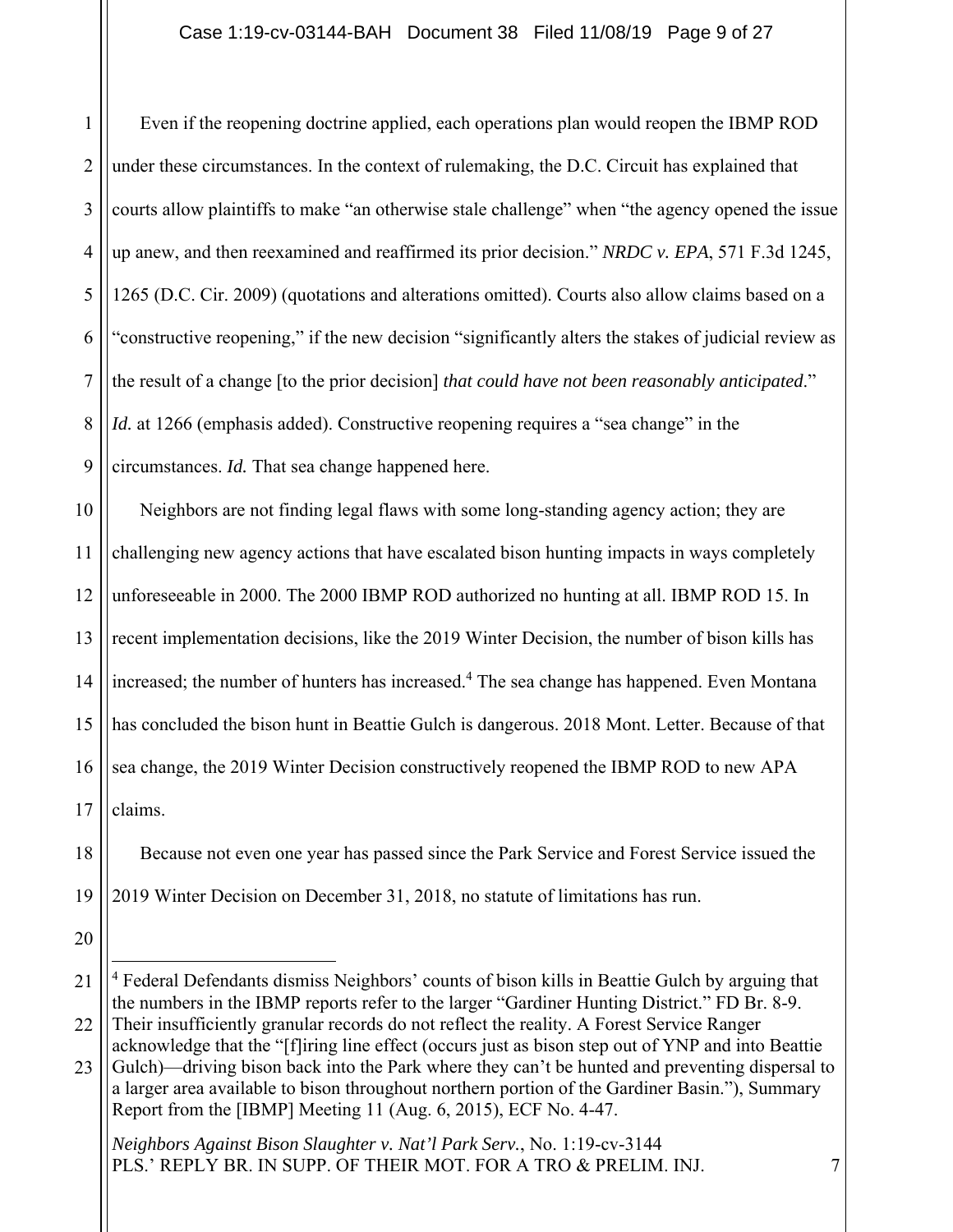1 2 3 4 5 6 7 8 9 Even if the reopening doctrine applied, each operations plan would reopen the IBMP ROD under these circumstances. In the context of rulemaking, the D.C. Circuit has explained that courts allow plaintiffs to make "an otherwise stale challenge" when "the agency opened the issue up anew, and then reexamined and reaffirmed its prior decision." *NRDC v. EPA*, 571 F.3d 1245, 1265 (D.C. Cir. 2009) (quotations and alterations omitted). Courts also allow claims based on a "constructive reopening," if the new decision "significantly alters the stakes of judicial review as the result of a change [to the prior decision] *that could have not been reasonably anticipated*." *Id.* at 1266 (emphasis added). Constructive reopening requires a "sea change" in the circumstances. *Id.* That sea change happened here.

10 11 12 13 14 15 16 17 Neighbors are not finding legal flaws with some long-standing agency action; they are challenging new agency actions that have escalated bison hunting impacts in ways completely unforeseeable in 2000. The 2000 IBMP ROD authorized no hunting at all. IBMP ROD 15. In recent implementation decisions, like the 2019 Winter Decision, the number of bison kills has increased; the number of hunters has increased.<sup>4</sup> The sea change has happened. Even Montana has concluded the bison hunt in Beattie Gulch is dangerous. 2018 Mont. Letter. Because of that sea change, the 2019 Winter Decision constructively reopened the IBMP ROD to new APA claims.

18 19 Because not even one year has passed since the Park Service and Forest Service issued the 2019 Winter Decision on December 31, 2018, no statute of limitations has run.

20

<sup>21</sup> 22 <sup>4</sup> Federal Defendants dismiss Neighbors' counts of bison kills in Beattie Gulch by arguing that the numbers in the IBMP reports refer to the larger "Gardiner Hunting District." FD Br. 8-9. Their insufficiently granular records do not reflect the reality. A Forest Service Ranger

<sup>23</sup> acknowledge that the "[f]iring line effect (occurs just as bison step out of YNP and into Beattie Gulch)—driving bison back into the Park where they can't be hunted and preventing dispersal to a larger area available to bison throughout northern portion of the Gardiner Basin."), Summary Report from the [IBMP] Meeting 11 (Aug. 6, 2015), ECF No. 4-47.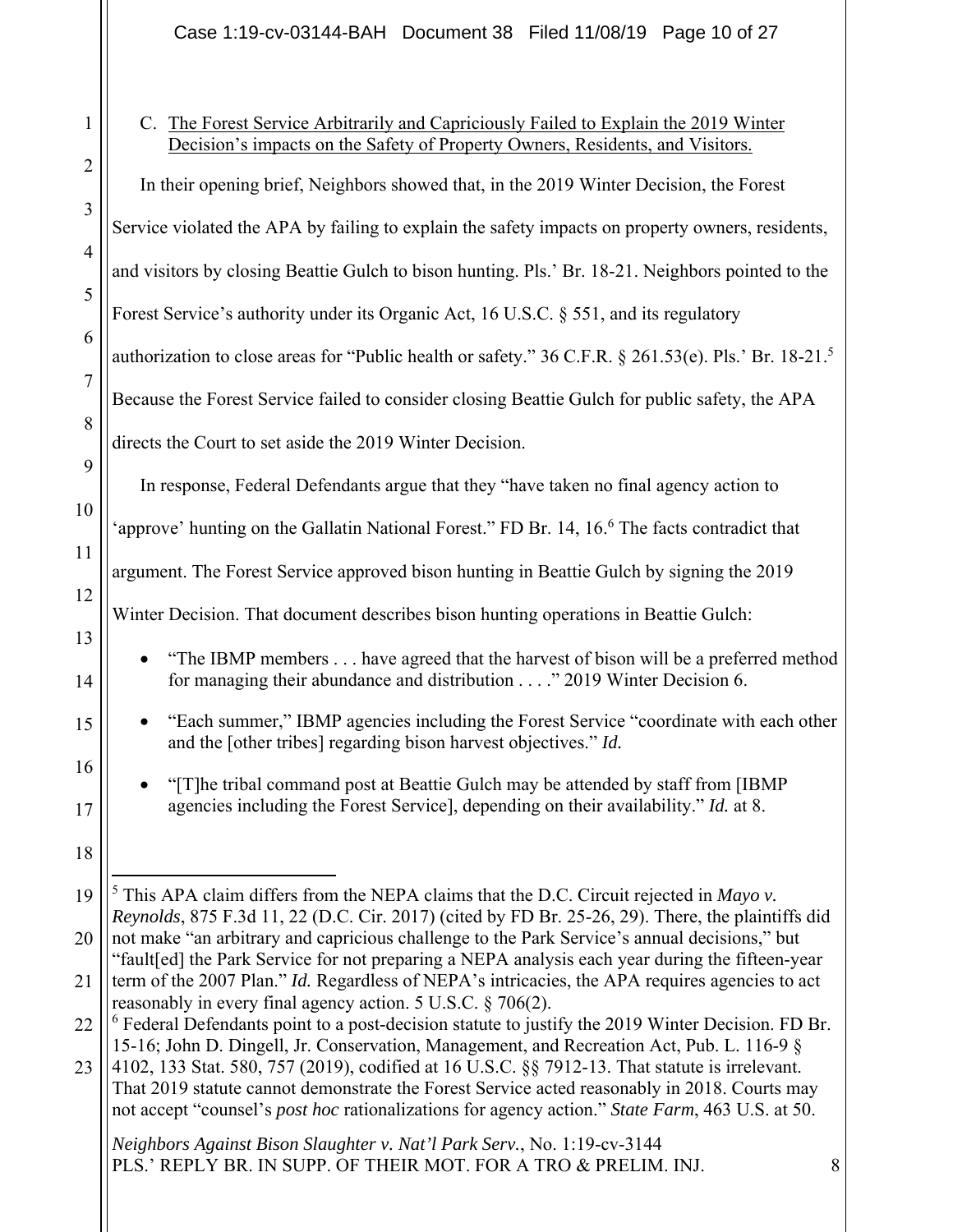Case 1:19-cv-03144-BAH Document 38 Filed 11/08/19 Page 10 of 27

|                 | $\mathbf 1$    |
|-----------------|----------------|
|                 | $\overline{2}$ |
|                 | 3              |
|                 | 4              |
|                 | 5              |
|                 | 6              |
|                 | $\overline{7}$ |
|                 | 8              |
|                 | 9              |
|                 | 10             |
|                 | 11             |
|                 | 12             |
|                 | 13             |
|                 | 14             |
|                 | 15             |
|                 | 16             |
|                 | 17             |
|                 | 18             |
|                 | 19             |
|                 | 20             |
| $\overline{21}$ |                |

C. The Forest Service Arbitrarily and Capriciously Failed to Explain the 2019 Winter Decision's impacts on the Safety of Property Owners, Residents, and Visitors.

22 In their opening brief, Neighbors showed that, in the 2019 Winter Decision, the Forest Service violated the APA by failing to explain the safety impacts on property owners, residents, and visitors by closing Beattie Gulch to bison hunting. Pls.' Br. 18-21. Neighbors pointed to the Forest Service's authority under its Organic Act, 16 U.S.C. § 551, and its regulatory authorization to close areas for "Public health or safety." 36 C.F.R. § 261.53(e). Pls.' Br. 18-21.5 Because the Forest Service failed to consider closing Beattie Gulch for public safety, the APA directs the Court to set aside the 2019 Winter Decision. In response, Federal Defendants argue that they "have taken no final agency action to 'approve' hunting on the Gallatin National Forest." FD Br. 14, 16.<sup>6</sup> The facts contradict that argument. The Forest Service approved bison hunting in Beattie Gulch by signing the 2019 Winter Decision. That document describes bison hunting operations in Beattie Gulch: "The IBMP members . . . have agreed that the harvest of bison will be a preferred method for managing their abundance and distribution . . . ." 2019 Winter Decision 6. "Each summer," IBMP agencies including the Forest Service "coordinate with each other and the [other tribes] regarding bison harvest objectives." *Id.* • "[T]he tribal command post at Beattie Gulch may be attended by staff from [IBMP] agencies including the Forest Service], depending on their availability." *Id.* at 8.  $<sup>5</sup>$  This APA claim differs from the NEPA claims that the D.C. Circuit rejected in *Mayo v*.</sup> *Reynolds*, 875 F.3d 11, 22 (D.C. Cir. 2017) (cited by FD Br. 25-26, 29). There, the plaintiffs did not make "an arbitrary and capricious challenge to the Park Service's annual decisions," but "fault[ed] the Park Service for not preparing a NEPA analysis each year during the fifteen-year term of the 2007 Plan." *Id.* Regardless of NEPA's intricacies, the APA requires agencies to act reasonably in every final agency action. 5 U.S.C. § 706(2).  $6$  Federal Defendants point to a post-decision statute to justify the 2019 Winter Decision. FD Br.

23 15-16; John D. Dingell, Jr. Conservation, Management, and Recreation Act, Pub. L. 116-9 § 4102, 133 Stat. 580, 757 (2019), codified at 16 U.S.C. §§ 7912-13. That statute is irrelevant. That 2019 statute cannot demonstrate the Forest Service acted reasonably in 2018. Courts may not accept "counsel's *post hoc* rationalizations for agency action." *State Farm*, 463 U.S. at 50.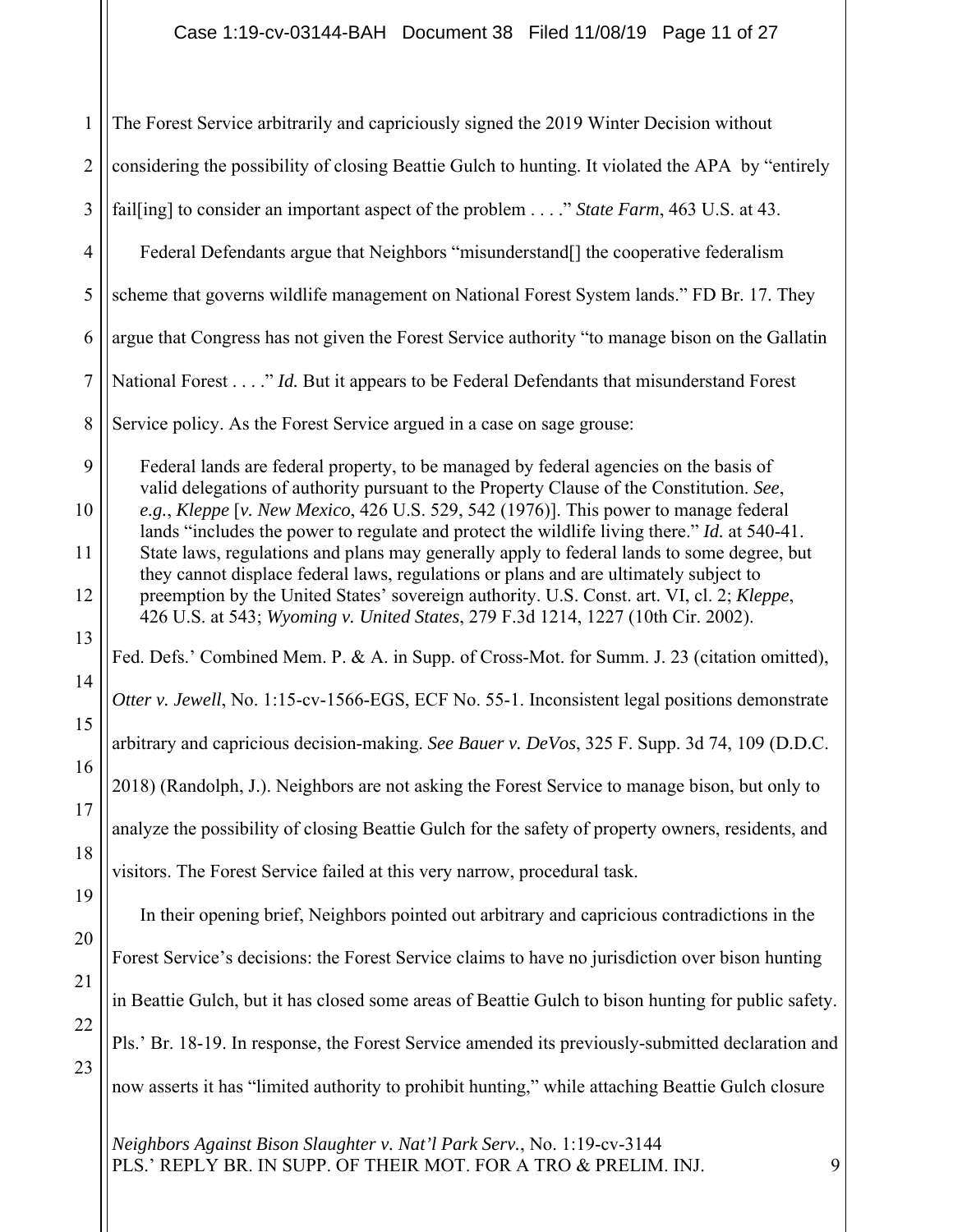| $\mathbf{1}$   | The Forest Service arbitrarily and capriciously signed the 2019 Winter Decision without                                                                                                     |
|----------------|---------------------------------------------------------------------------------------------------------------------------------------------------------------------------------------------|
| $\overline{2}$ | considering the possibility of closing Beattie Gulch to hunting. It violated the APA by "entirely                                                                                           |
| 3              | fail [ing] to consider an important aspect of the problem" State Farm, 463 U.S. at 43.                                                                                                      |
| $\overline{4}$ | Federal Defendants argue that Neighbors "misunderstand[] the cooperative federalism                                                                                                         |
| 5              | scheme that governs wildlife management on National Forest System lands." FD Br. 17. They                                                                                                   |
| 6              | argue that Congress has not given the Forest Service authority "to manage bison on the Gallatin                                                                                             |
| $\overline{7}$ | National Forest" Id. But it appears to be Federal Defendants that misunderstand Forest                                                                                                      |
| 8              | Service policy. As the Forest Service argued in a case on sage grouse:                                                                                                                      |
| 9              | Federal lands are federal property, to be managed by federal agencies on the basis of<br>valid delegations of authority pursuant to the Property Clause of the Constitution. See,           |
| 10             | e.g., Kleppe [v. New Mexico, 426 U.S. 529, 542 (1976)]. This power to manage federal<br>lands "includes the power to regulate and protect the wildlife living there." <i>Id.</i> at 540-41. |
| 11             | State laws, regulations and plans may generally apply to federal lands to some degree, but<br>they cannot displace federal laws, regulations or plans and are ultimately subject to         |
| 12             | preemption by the United States' sovereign authority. U.S. Const. art. VI, cl. 2; Kleppe,<br>426 U.S. at 543; Wyoming v. United States, 279 F.3d 1214, 1227 (10th Cir. 2002).               |
| 13             | Fed. Defs.' Combined Mem. P. & A. in Supp. of Cross-Mot. for Summ. J. 23 (citation omitted),                                                                                                |
| 14             | Otter v. Jewell, No. 1:15-cv-1566-EGS, ECF No. 55-1. Inconsistent legal positions demonstrate                                                                                               |
| 15             | arbitrary and capricious decision-making. See Bauer v. DeVos, 325 F. Supp. 3d 74, 109 (D.D.C.                                                                                               |
| 16             | 2018) (Randolph, J.). Neighbors are not asking the Forest Service to manage bison, but only to                                                                                              |
| 17             | analyze the possibility of closing Beattie Gulch for the safety of property owners, residents, and                                                                                          |
| 18             | visitors. The Forest Service failed at this very narrow, procedural task.                                                                                                                   |
| 19             | In their opening brief, Neighbors pointed out arbitrary and capricious contradictions in the                                                                                                |
| 20             | Forest Service's decisions: the Forest Service claims to have no jurisdiction over bison hunting                                                                                            |
| 21             | in Beattie Gulch, but it has closed some areas of Beattie Gulch to bison hunting for public safety.                                                                                         |
| 22             | Pls.' Br. 18-19. In response, the Forest Service amended its previously-submitted declaration and                                                                                           |
| 23             | now asserts it has "limited authority to prohibit hunting," while attaching Beattie Gulch closure                                                                                           |
|                |                                                                                                                                                                                             |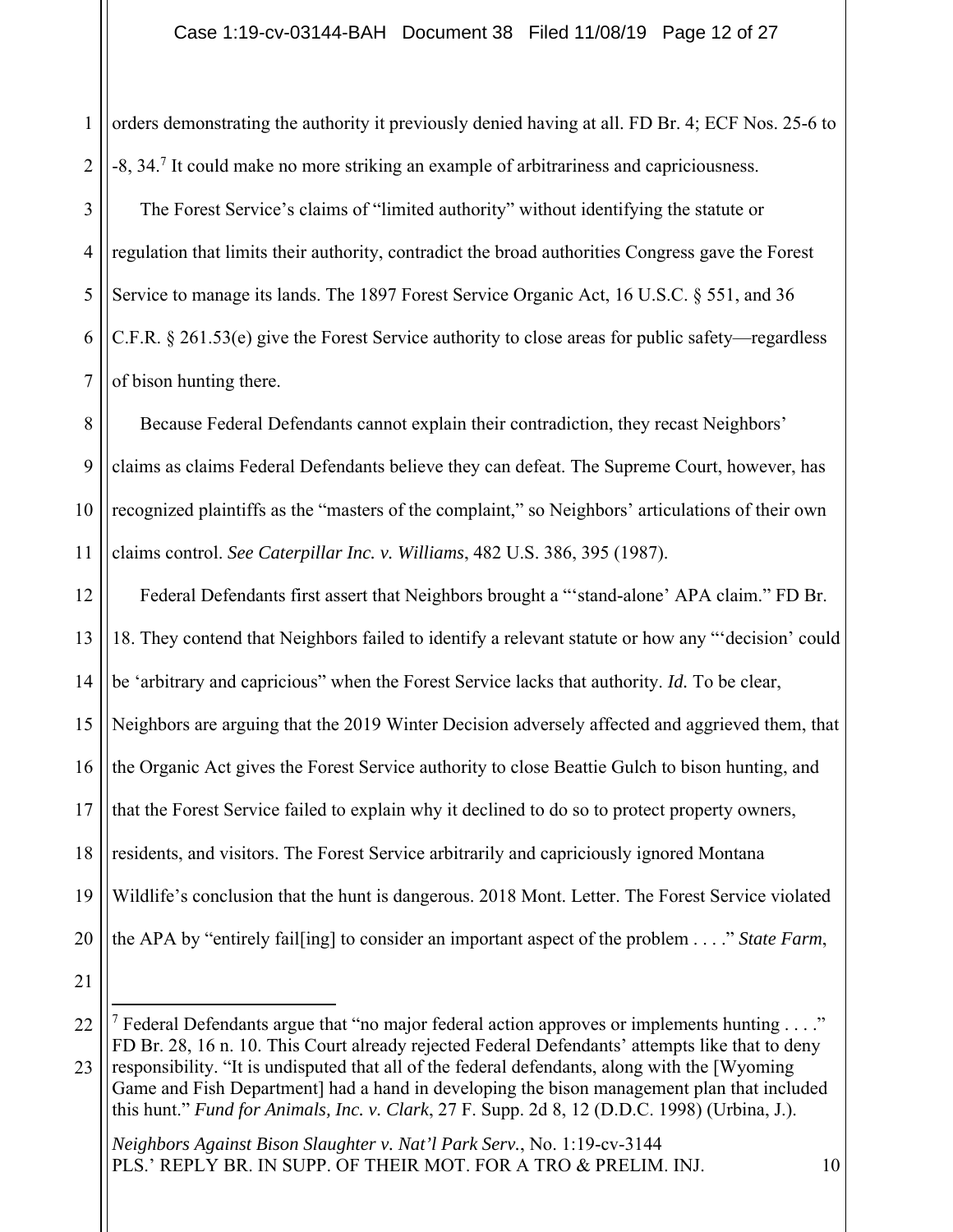1 2 3 4 5 6 7 orders demonstrating the authority it previously denied having at all. FD Br. 4; ECF Nos. 25-6 to -8, 34.<sup>7</sup> It could make no more striking an example of arbitrariness and capriciousness. The Forest Service's claims of "limited authority" without identifying the statute or regulation that limits their authority, contradict the broad authorities Congress gave the Forest Service to manage its lands. The 1897 Forest Service Organic Act, 16 U.S.C. § 551, and 36 C.F.R. § 261.53(e) give the Forest Service authority to close areas for public safety—regardless of bison hunting there.

8 9 10 11 Because Federal Defendants cannot explain their contradiction, they recast Neighbors' claims as claims Federal Defendants believe they can defeat. The Supreme Court, however, has recognized plaintiffs as the "masters of the complaint," so Neighbors' articulations of their own claims control. *See Caterpillar Inc. v. Williams*, 482 U.S. 386, 395 (1987).

12 13 14 15 16 17 18 19 20 Federal Defendants first assert that Neighbors brought a "'stand-alone' APA claim." FD Br. 18. They contend that Neighbors failed to identify a relevant statute or how any "'decision' could be 'arbitrary and capricious" when the Forest Service lacks that authority. *Id.* To be clear, Neighbors are arguing that the 2019 Winter Decision adversely affected and aggrieved them, that the Organic Act gives the Forest Service authority to close Beattie Gulch to bison hunting, and that the Forest Service failed to explain why it declined to do so to protect property owners, residents, and visitors. The Forest Service arbitrarily and capriciously ignored Montana Wildlife's conclusion that the hunt is dangerous. 2018 Mont. Letter. The Forest Service violated the APA by "entirely fail[ing] to consider an important aspect of the problem . . . ." *State Farm*,

21

<sup>22</sup> <sup>7</sup> Federal Defendants argue that "no major federal action approves or implements hunting . . . ." FD Br. 28, 16 n. 10. This Court already rejected Federal Defendants' attempts like that to deny

<sup>23</sup> responsibility. "It is undisputed that all of the federal defendants, along with the [Wyoming Game and Fish Department] had a hand in developing the bison management plan that included this hunt." *Fund for Animals, Inc. v. Clark*, 27 F. Supp. 2d 8, 12 (D.D.C. 1998) (Urbina, J.).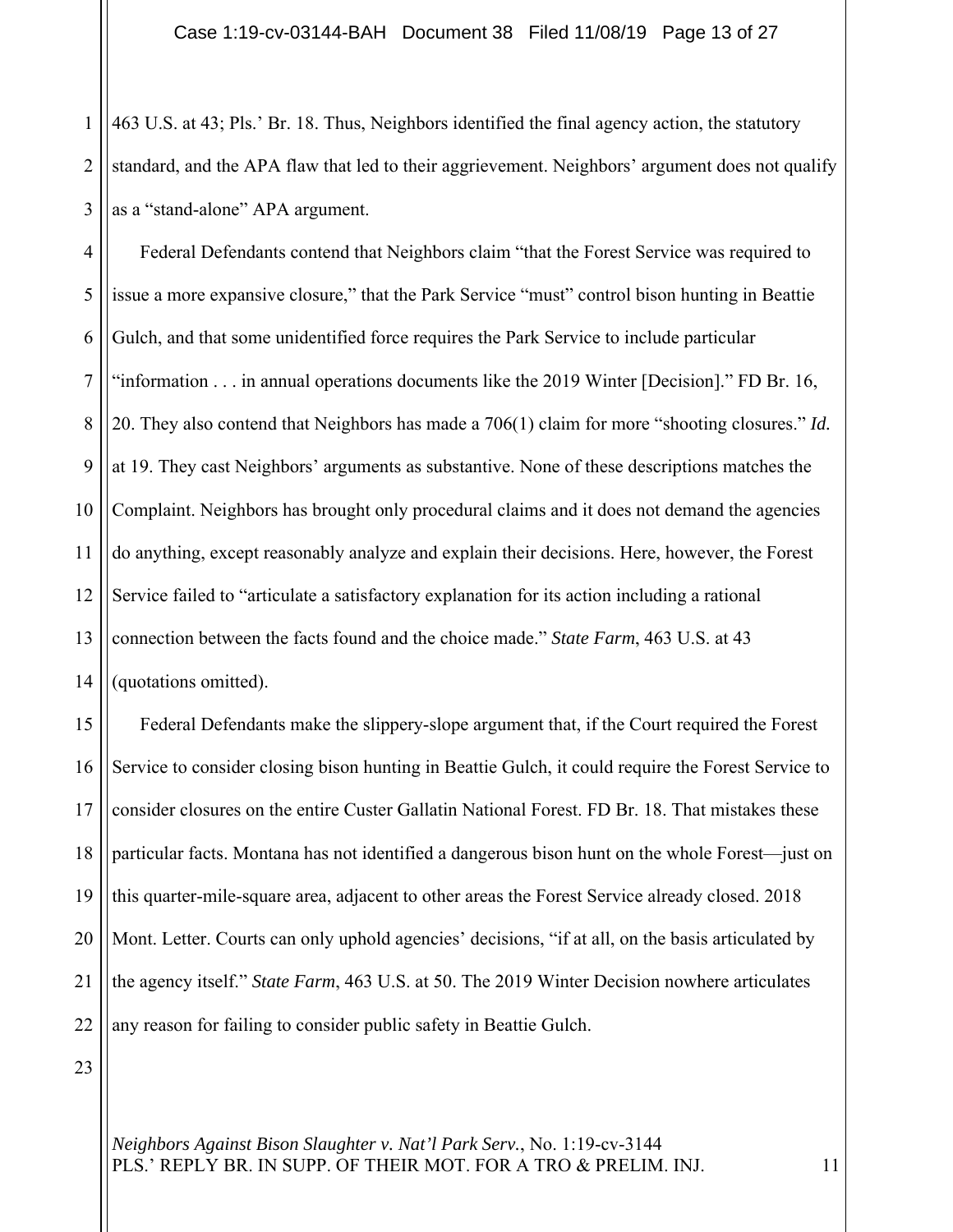1 2 3 463 U.S. at 43; Pls.' Br. 18. Thus, Neighbors identified the final agency action, the statutory standard, and the APA flaw that led to their aggrievement. Neighbors' argument does not qualify as a "stand-alone" APA argument.

4 5 6 7 8 9 10 11 12 13 14 Federal Defendants contend that Neighbors claim "that the Forest Service was required to issue a more expansive closure," that the Park Service "must" control bison hunting in Beattie Gulch, and that some unidentified force requires the Park Service to include particular "information . . . in annual operations documents like the 2019 Winter [Decision]." FD Br. 16, 20. They also contend that Neighbors has made a 706(1) claim for more "shooting closures." *Id.* at 19. They cast Neighbors' arguments as substantive. None of these descriptions matches the Complaint. Neighbors has brought only procedural claims and it does not demand the agencies do anything, except reasonably analyze and explain their decisions. Here, however, the Forest Service failed to "articulate a satisfactory explanation for its action including a rational connection between the facts found and the choice made." *State Farm*, 463 U.S. at 43 (quotations omitted).

15 16 17 18 19 20 21 22 Federal Defendants make the slippery-slope argument that, if the Court required the Forest Service to consider closing bison hunting in Beattie Gulch, it could require the Forest Service to consider closures on the entire Custer Gallatin National Forest. FD Br. 18. That mistakes these particular facts. Montana has not identified a dangerous bison hunt on the whole Forest—just on this quarter-mile-square area, adjacent to other areas the Forest Service already closed. 2018 Mont. Letter. Courts can only uphold agencies' decisions, "if at all, on the basis articulated by the agency itself." *State Farm*, 463 U.S. at 50. The 2019 Winter Decision nowhere articulates any reason for failing to consider public safety in Beattie Gulch.

23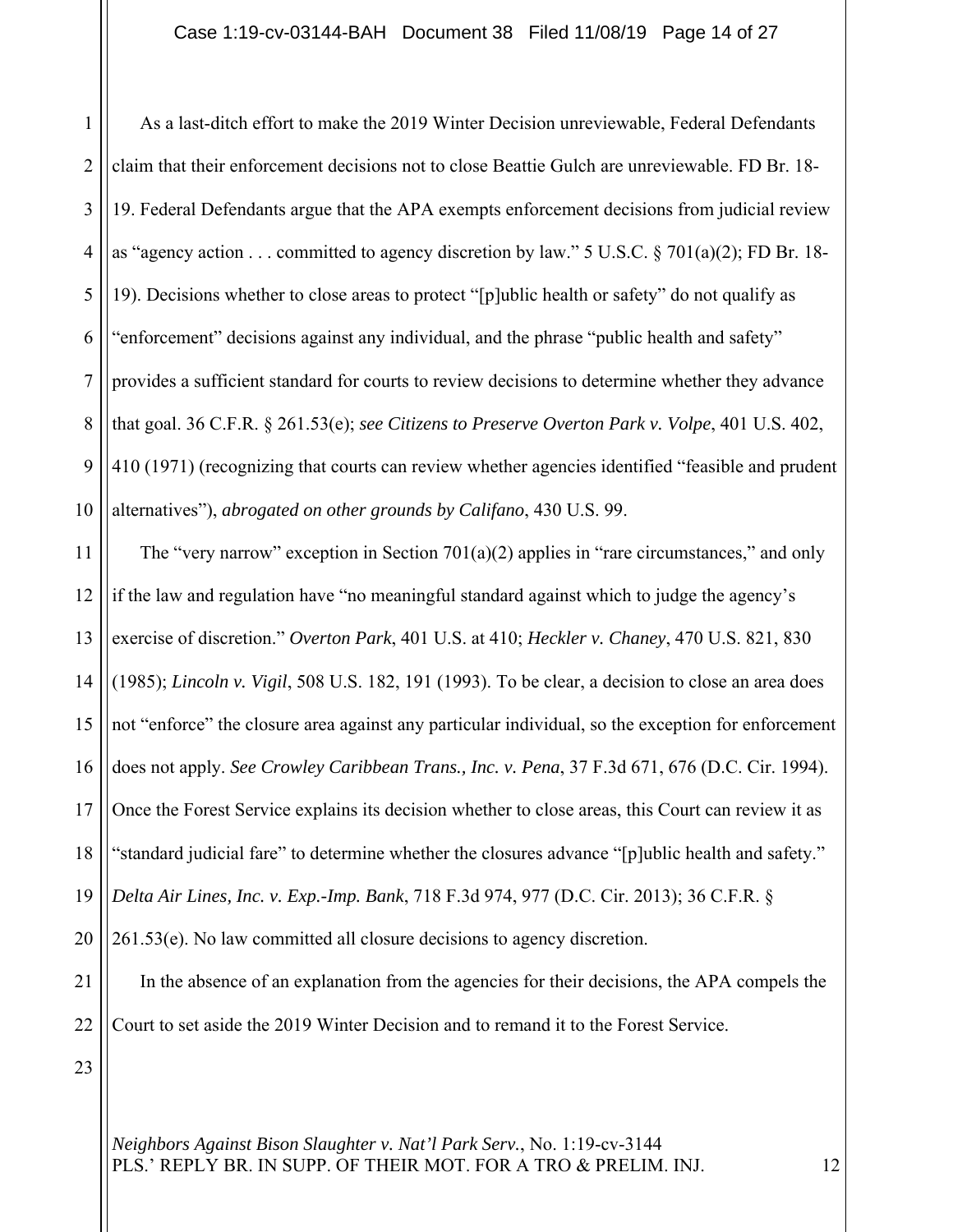### Case 1:19-cv-03144-BAH Document 38 Filed 11/08/19 Page 14 of 27

1 2 3 4 5 6 7 8 9 10 11 As a last-ditch effort to make the 2019 Winter Decision unreviewable, Federal Defendants claim that their enforcement decisions not to close Beattie Gulch are unreviewable. FD Br. 18- 19. Federal Defendants argue that the APA exempts enforcement decisions from judicial review as "agency action . . . committed to agency discretion by law." 5 U.S.C. § 701(a)(2); FD Br. 18- 19). Decisions whether to close areas to protect "[p]ublic health or safety" do not qualify as "enforcement" decisions against any individual, and the phrase "public health and safety" provides a sufficient standard for courts to review decisions to determine whether they advance that goal. 36 C.F.R. § 261.53(e); *see Citizens to Preserve Overton Park v. Volpe*, 401 U.S. 402, 410 (1971) (recognizing that courts can review whether agencies identified "feasible and prudent alternatives"), *abrogated on other grounds by Califano*, 430 U.S. 99. The "very narrow" exception in Section 701(a)(2) applies in "rare circumstances," and only

12 13 14 15 16 17 18 19 if the law and regulation have "no meaningful standard against which to judge the agency's exercise of discretion." *Overton Park*, 401 U.S. at 410; *Heckler v. Chaney*, 470 U.S. 821, 830 (1985); *Lincoln v. Vigil*, 508 U.S. 182, 191 (1993). To be clear, a decision to close an area does not "enforce" the closure area against any particular individual, so the exception for enforcement does not apply. *See Crowley Caribbean Trans., Inc. v. Pena*, 37 F.3d 671, 676 (D.C. Cir. 1994). Once the Forest Service explains its decision whether to close areas, this Court can review it as "standard judicial fare" to determine whether the closures advance "[p]ublic health and safety." *Delta Air Lines, Inc. v. Exp.-Imp. Bank*, 718 F.3d 974, 977 (D.C. Cir. 2013); 36 C.F.R. §

20 261.53(e). No law committed all closure decisions to agency discretion.

21 22 In the absence of an explanation from the agencies for their decisions, the APA compels the Court to set aside the 2019 Winter Decision and to remand it to the Forest Service.

23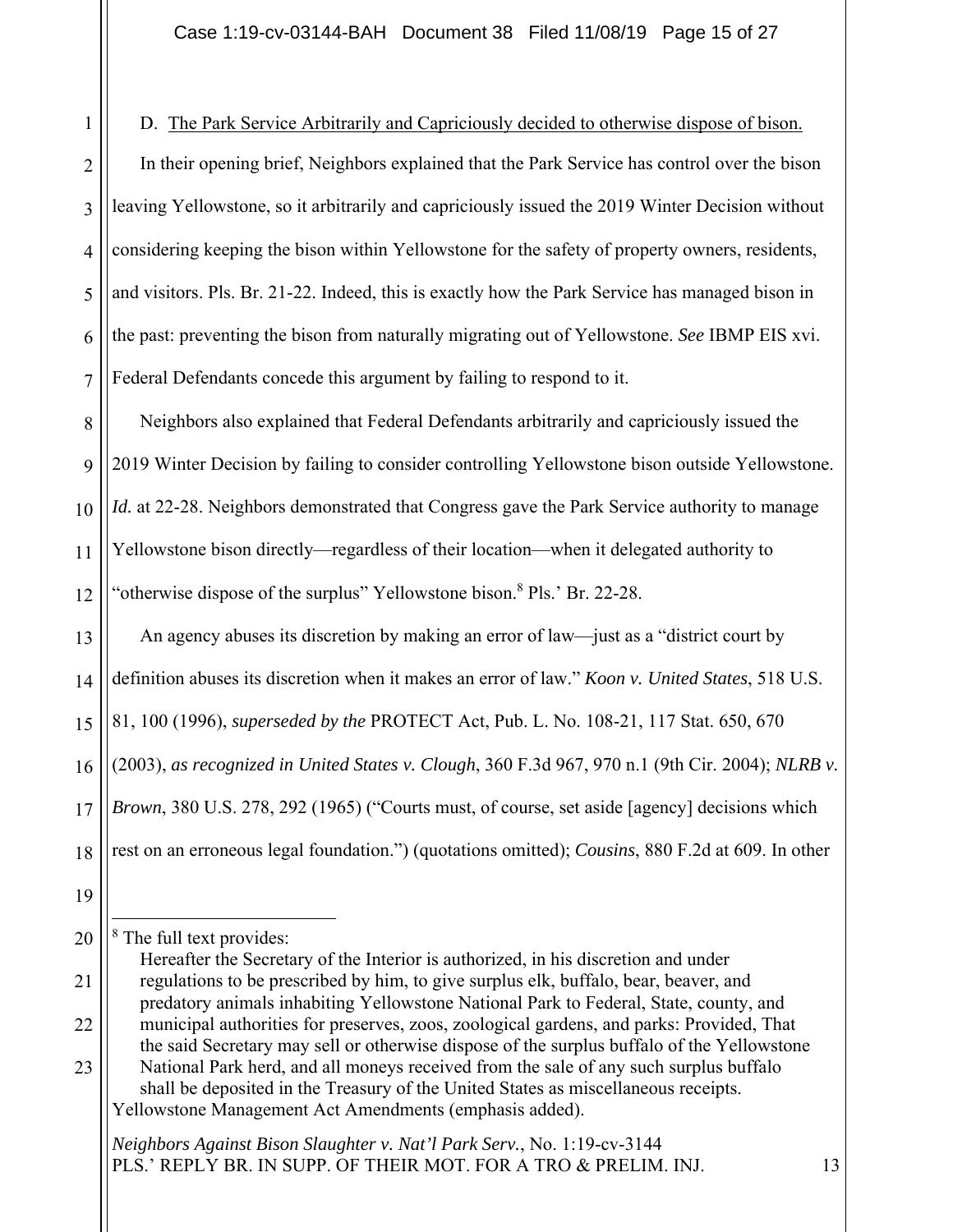1 2 3 4 5 6 7 D. The Park Service Arbitrarily and Capriciously decided to otherwise dispose of bison. In their opening brief, Neighbors explained that the Park Service has control over the bison leaving Yellowstone, so it arbitrarily and capriciously issued the 2019 Winter Decision without considering keeping the bison within Yellowstone for the safety of property owners, residents, and visitors. Pls. Br. 21-22. Indeed, this is exactly how the Park Service has managed bison in the past: preventing the bison from naturally migrating out of Yellowstone. *See* IBMP EIS xvi. Federal Defendants concede this argument by failing to respond to it.

8  $\overline{Q}$ 10 11 12 Neighbors also explained that Federal Defendants arbitrarily and capriciously issued the 2019 Winter Decision by failing to consider controlling Yellowstone bison outside Yellowstone. *Id.* at 22-28. Neighbors demonstrated that Congress gave the Park Service authority to manage Yellowstone bison directly—regardless of their location—when it delegated authority to "otherwise dispose of the surplus" Yellowstone bison.<sup>8</sup> Pls.' Br. 22-28.

13 14 15 16 17 18 An agency abuses its discretion by making an error of law—just as a "district court by definition abuses its discretion when it makes an error of law." *Koon v. United States*, 518 U.S. 81, 100 (1996), *superseded by the* PROTECT Act, Pub. L. No. 108-21, 117 Stat. 650, 670 (2003), *as recognized in United States v. Clough*, 360 F.3d 967, 970 n.1 (9th Cir. 2004); *NLRB v. Brown*, 380 U.S. 278, 292 (1965) ("Courts must, of course, set aside [agency] decisions which rest on an erroneous legal foundation.") (quotations omitted); *Cousins*, 880 F.2d at 609. In other

<sup>19</sup>

<sup>20</sup>

<sup>&</sup>lt;sup>8</sup> The full text provides:

<sup>21</sup> 22 Hereafter the Secretary of the Interior is authorized, in his discretion and under regulations to be prescribed by him, to give surplus elk, buffalo, bear, beaver, and predatory animals inhabiting Yellowstone National Park to Federal, State, county, and municipal authorities for preserves, zoos, zoological gardens, and parks: Provided, That the said Secretary may sell or otherwise dispose of the surplus buffalo of the Yellowstone

<sup>23</sup> National Park herd, and all moneys received from the sale of any such surplus buffalo shall be deposited in the Treasury of the United States as miscellaneous receipts. Yellowstone Management Act Amendments (emphasis added).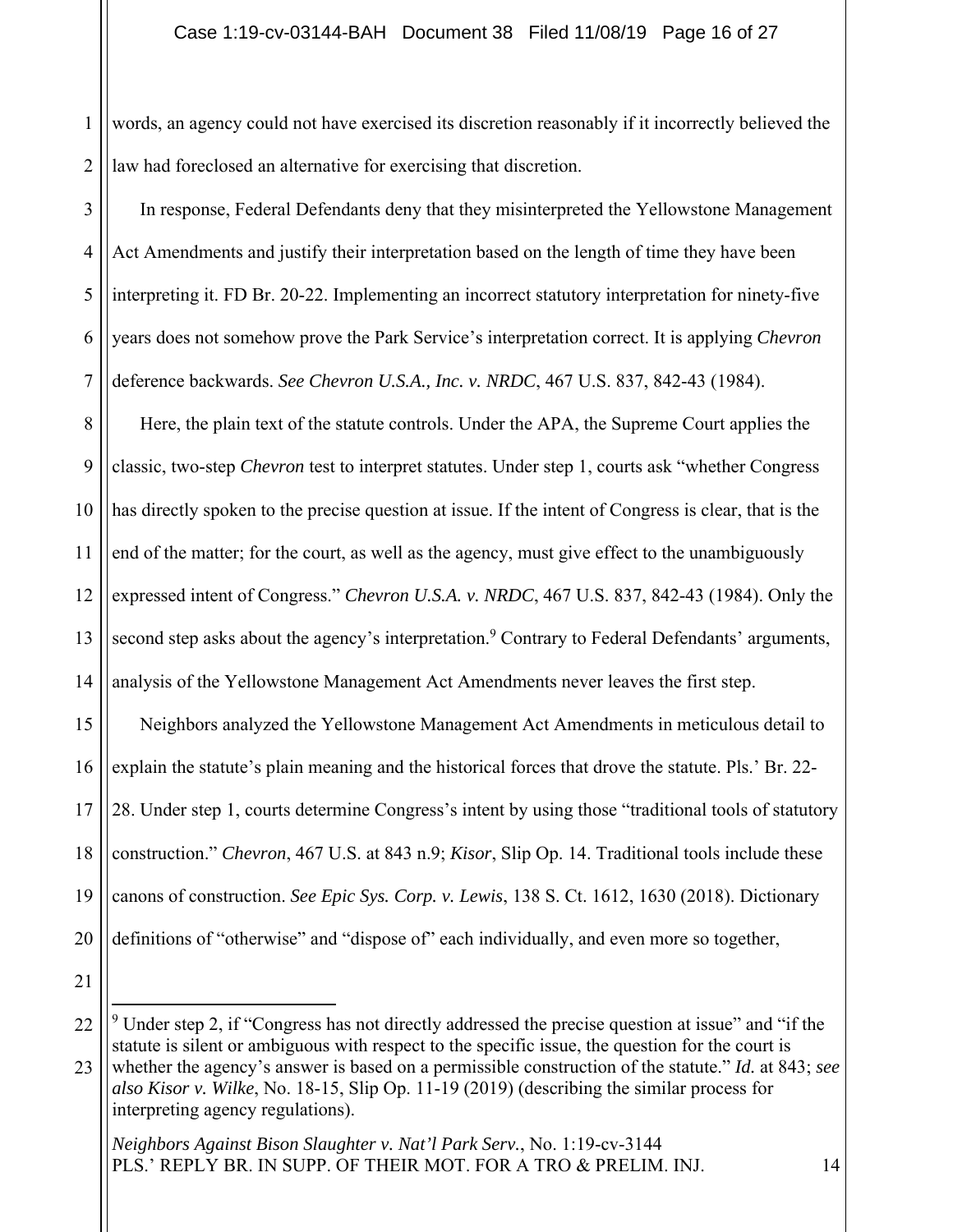1 2 words, an agency could not have exercised its discretion reasonably if it incorrectly believed the law had foreclosed an alternative for exercising that discretion.

3 4 5 6 7 In response, Federal Defendants deny that they misinterpreted the Yellowstone Management Act Amendments and justify their interpretation based on the length of time they have been interpreting it. FD Br. 20-22. Implementing an incorrect statutory interpretation for ninety-five years does not somehow prove the Park Service's interpretation correct. It is applying *Chevron*  deference backwards. *See Chevron U.S.A., Inc. v. NRDC*, 467 U.S. 837, 842-43 (1984).

8 9 10 11 12 13 14 Here, the plain text of the statute controls. Under the APA, the Supreme Court applies the classic, two-step *Chevron* test to interpret statutes. Under step 1, courts ask "whether Congress has directly spoken to the precise question at issue. If the intent of Congress is clear, that is the end of the matter; for the court, as well as the agency, must give effect to the unambiguously expressed intent of Congress." *Chevron U.S.A. v. NRDC*, 467 U.S. 837, 842-43 (1984). Only the second step asks about the agency's interpretation.<sup>9</sup> Contrary to Federal Defendants' arguments, analysis of the Yellowstone Management Act Amendments never leaves the first step.

15 16 17 18 19 20 Neighbors analyzed the Yellowstone Management Act Amendments in meticulous detail to explain the statute's plain meaning and the historical forces that drove the statute. Pls.' Br. 22- 28. Under step 1, courts determine Congress's intent by using those "traditional tools of statutory construction." *Chevron*, 467 U.S. at 843 n.9; *Kisor*, Slip Op. 14. Traditional tools include these canons of construction. *See Epic Sys. Corp. v. Lewis*, 138 S. Ct. 1612, 1630 (2018). Dictionary definitions of "otherwise" and "dispose of" each individually, and even more so together,

21

<sup>22</sup>  $9$  Under step 2, if "Congress has not directly addressed the precise question at issue" and "if the statute is silent or ambiguous with respect to the specific issue, the question for the court is

<sup>23</sup> whether the agency's answer is based on a permissible construction of the statute." *Id.* at 843; *see also Kisor v. Wilke*, No. 18-15, Slip Op. 11-19 (2019) (describing the similar process for interpreting agency regulations).

*Neighbors Against Bison Slaughter v. Nat'l Park Serv.*, No. 1:19-cv-3144 PLS.' REPLY BR. IN SUPP. OF THEIR MOT. FOR A TRO & PRELIM. INJ. 14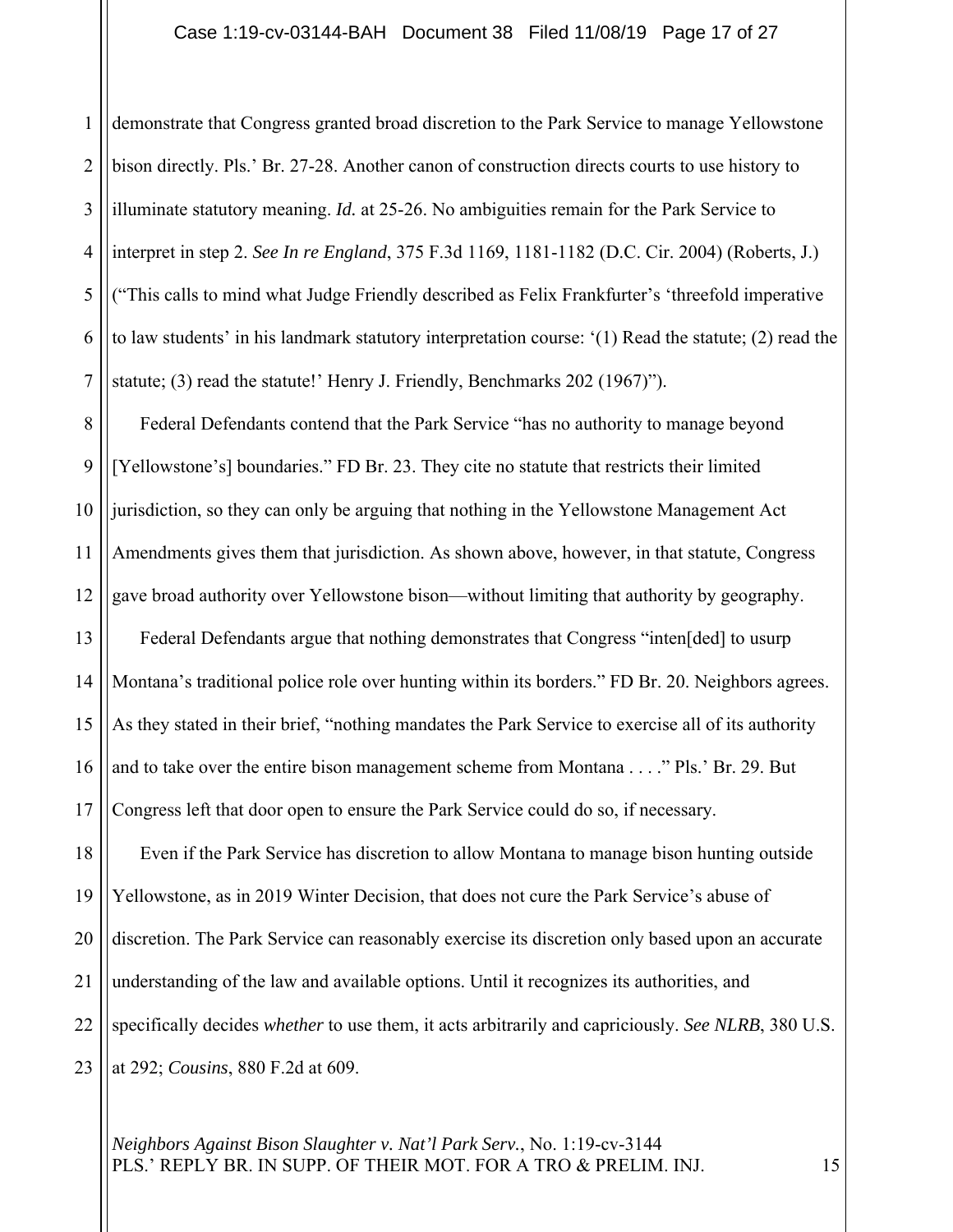### Case 1:19-cv-03144-BAH Document 38 Filed 11/08/19 Page 17 of 27

2 3 4 5 6 7 demonstrate that Congress granted broad discretion to the Park Service to manage Yellowstone bison directly. Pls.' Br. 27-28. Another canon of construction directs courts to use history to illuminate statutory meaning. *Id.* at 25-26. No ambiguities remain for the Park Service to interpret in step 2. *See In re England*, 375 F.3d 1169, 1181-1182 (D.C. Cir. 2004) (Roberts, J.) ("This calls to mind what Judge Friendly described as Felix Frankfurter's 'threefold imperative to law students' in his landmark statutory interpretation course: '(1) Read the statute; (2) read the statute; (3) read the statute!' Henry J. Friendly, Benchmarks 202 (1967)").

8 9 10 11 12 13 14 15 16 17 18 19 20 21 22 23 Federal Defendants contend that the Park Service "has no authority to manage beyond [Yellowstone's] boundaries." FD Br. 23. They cite no statute that restricts their limited jurisdiction, so they can only be arguing that nothing in the Yellowstone Management Act Amendments gives them that jurisdiction. As shown above, however, in that statute, Congress gave broad authority over Yellowstone bison—without limiting that authority by geography. Federal Defendants argue that nothing demonstrates that Congress "inten[ded] to usurp Montana's traditional police role over hunting within its borders." FD Br. 20. Neighbors agrees. As they stated in their brief, "nothing mandates the Park Service to exercise all of its authority and to take over the entire bison management scheme from Montana . . . ." Pls.' Br. 29. But Congress left that door open to ensure the Park Service could do so, if necessary. Even if the Park Service has discretion to allow Montana to manage bison hunting outside Yellowstone, as in 2019 Winter Decision, that does not cure the Park Service's abuse of discretion. The Park Service can reasonably exercise its discretion only based upon an accurate understanding of the law and available options. Until it recognizes its authorities, and specifically decides *whether* to use them, it acts arbitrarily and capriciously. *See NLRB*, 380 U.S. at 292; *Cousins*, 880 F.2d at 609.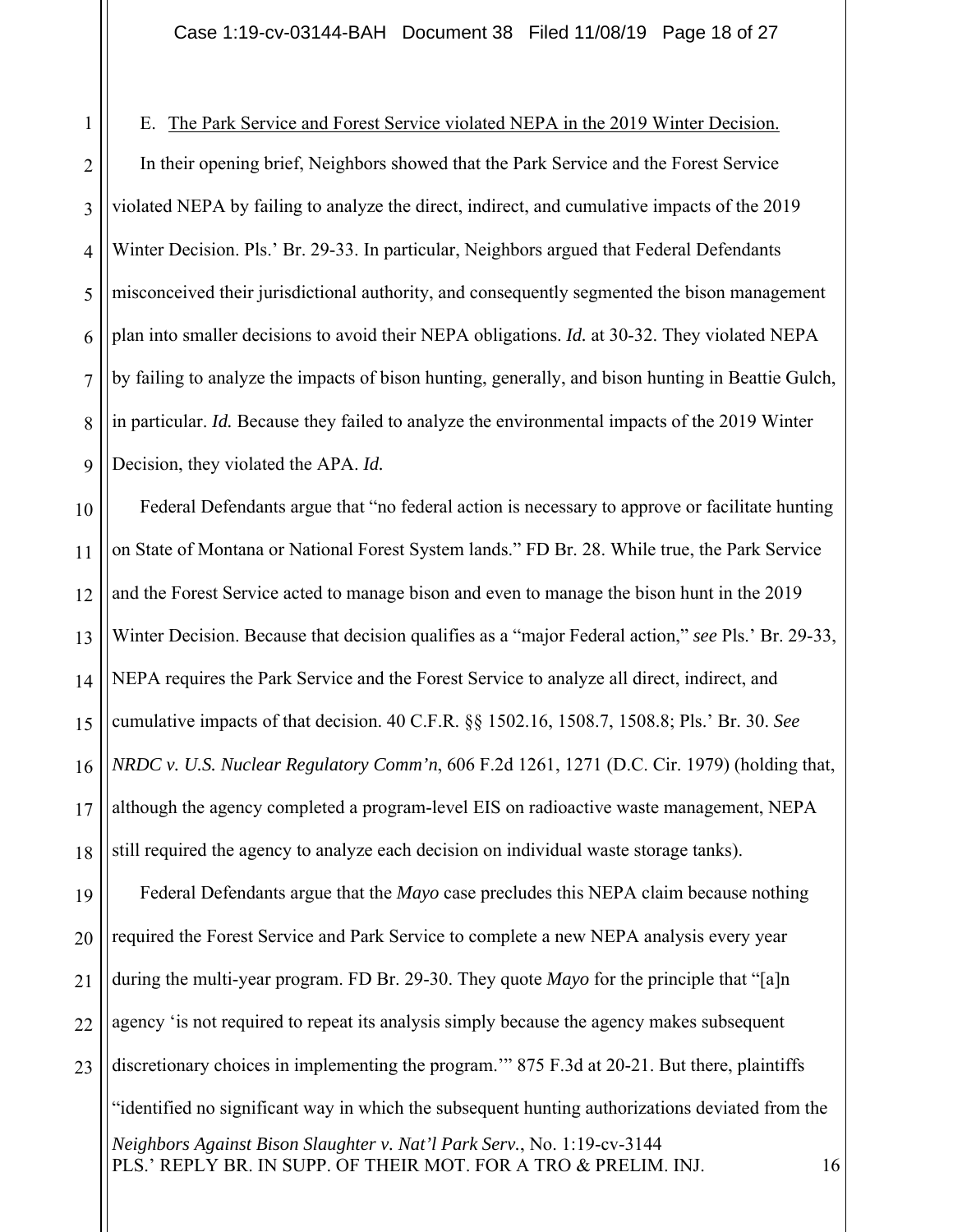1 2 3 4 5 6 7 8  $\overline{Q}$ E. The Park Service and Forest Service violated NEPA in the 2019 Winter Decision. In their opening brief, Neighbors showed that the Park Service and the Forest Service violated NEPA by failing to analyze the direct, indirect, and cumulative impacts of the 2019 Winter Decision. Pls.' Br. 29-33. In particular, Neighbors argued that Federal Defendants misconceived their jurisdictional authority, and consequently segmented the bison management plan into smaller decisions to avoid their NEPA obligations. *Id.* at 30-32. They violated NEPA by failing to analyze the impacts of bison hunting, generally, and bison hunting in Beattie Gulch, in particular. *Id.* Because they failed to analyze the environmental impacts of the 2019 Winter Decision, they violated the APA. *Id.*

10 11 12 13 14 15 16 17 18 19 20 21 22 23 Federal Defendants argue that "no federal action is necessary to approve or facilitate hunting on State of Montana or National Forest System lands." FD Br. 28. While true, the Park Service and the Forest Service acted to manage bison and even to manage the bison hunt in the 2019 Winter Decision. Because that decision qualifies as a "major Federal action," *see* Pls.' Br. 29-33, NEPA requires the Park Service and the Forest Service to analyze all direct, indirect, and cumulative impacts of that decision. 40 C.F.R. §§ 1502.16, 1508.7, 1508.8; Pls.' Br. 30. *See NRDC v. U.S. Nuclear Regulatory Comm'n*, 606 F.2d 1261, 1271 (D.C. Cir. 1979) (holding that, although the agency completed a program-level EIS on radioactive waste management, NEPA still required the agency to analyze each decision on individual waste storage tanks). Federal Defendants argue that the *Mayo* case precludes this NEPA claim because nothing required the Forest Service and Park Service to complete a new NEPA analysis every year during the multi-year program. FD Br. 29-30. They quote *Mayo* for the principle that "[a]n agency 'is not required to repeat its analysis simply because the agency makes subsequent discretionary choices in implementing the program.'" 875 F.3d at 20-21. But there, plaintiffs

*Neighbors Against Bison Slaughter v. Nat'l Park Serv.*, No. 1:19-cv-3144 PLS.' REPLY BR. IN SUPP. OF THEIR MOT. FOR A TRO & PRELIM. INJ. 16 "identified no significant way in which the subsequent hunting authorizations deviated from the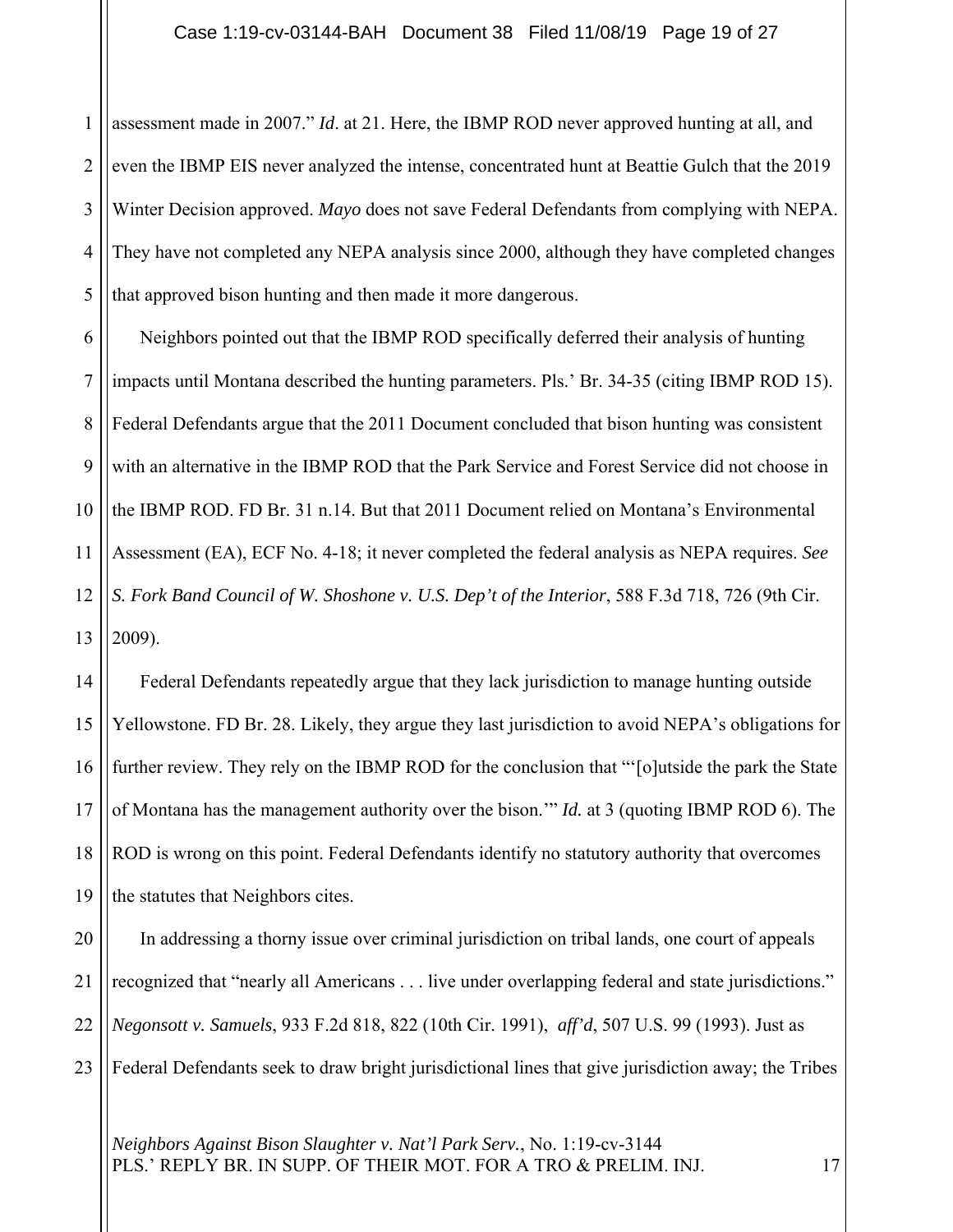1 2 3 4 5 assessment made in 2007." *Id*. at 21. Here, the IBMP ROD never approved hunting at all, and even the IBMP EIS never analyzed the intense, concentrated hunt at Beattie Gulch that the 2019 Winter Decision approved. *Mayo* does not save Federal Defendants from complying with NEPA. They have not completed any NEPA analysis since 2000, although they have completed changes that approved bison hunting and then made it more dangerous.

6 7 8 9 10 11 12 13 Neighbors pointed out that the IBMP ROD specifically deferred their analysis of hunting impacts until Montana described the hunting parameters. Pls.' Br. 34-35 (citing IBMP ROD 15). Federal Defendants argue that the 2011 Document concluded that bison hunting was consistent with an alternative in the IBMP ROD that the Park Service and Forest Service did not choose in the IBMP ROD. FD Br. 31 n.14. But that 2011 Document relied on Montana's Environmental Assessment (EA), ECF No. 4-18; it never completed the federal analysis as NEPA requires. *See S. Fork Band Council of W. Shoshone v. U.S. Dep't of the Interior*, 588 F.3d 718, 726 (9th Cir. 2009).

14 15 16 17 18 19 Federal Defendants repeatedly argue that they lack jurisdiction to manage hunting outside Yellowstone. FD Br. 28. Likely, they argue they last jurisdiction to avoid NEPA's obligations for further review. They rely on the IBMP ROD for the conclusion that "'[o]utside the park the State of Montana has the management authority over the bison.'" *Id.* at 3 (quoting IBMP ROD 6). The ROD is wrong on this point. Federal Defendants identify no statutory authority that overcomes the statutes that Neighbors cites.

20 21 22 23 In addressing a thorny issue over criminal jurisdiction on tribal lands, one court of appeals recognized that "nearly all Americans . . . live under overlapping federal and state jurisdictions." *Negonsott v. Samuels*, 933 F.2d 818, 822 (10th Cir. 1991), *aff'd*, 507 U.S. 99 (1993). Just as Federal Defendants seek to draw bright jurisdictional lines that give jurisdiction away; the Tribes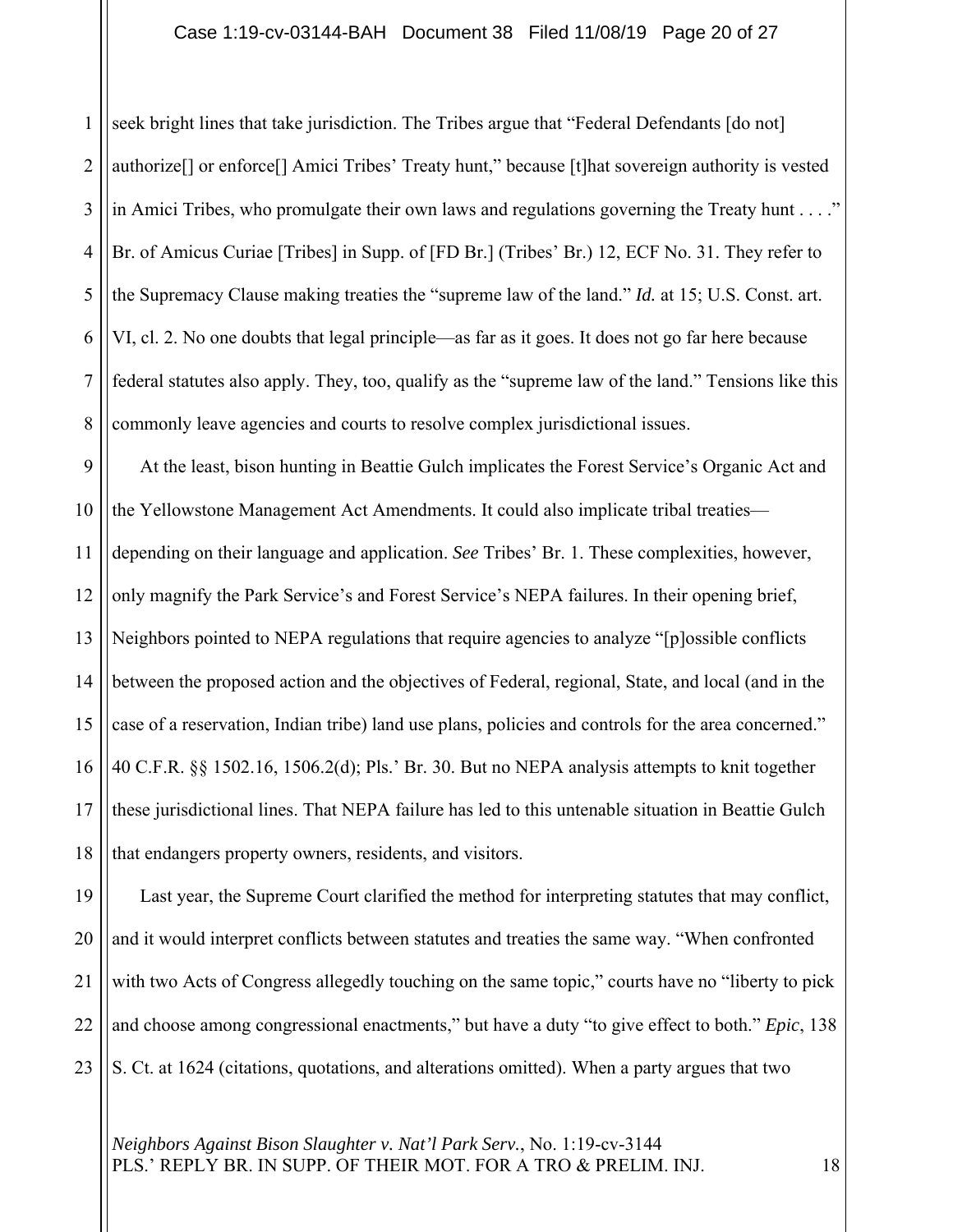1 2 3 4 5 6 7 8 seek bright lines that take jurisdiction. The Tribes argue that "Federal Defendants [do not] authorize[] or enforce[] Amici Tribes' Treaty hunt," because [t]hat sovereign authority is vested in Amici Tribes, who promulgate their own laws and regulations governing the Treaty hunt . . . ." Br. of Amicus Curiae [Tribes] in Supp. of [FD Br.] (Tribes' Br.) 12, ECF No. 31. They refer to the Supremacy Clause making treaties the "supreme law of the land." *Id.* at 15; U.S. Const. art. VI, cl. 2. No one doubts that legal principle—as far as it goes. It does not go far here because federal statutes also apply. They, too, qualify as the "supreme law of the land." Tensions like this commonly leave agencies and courts to resolve complex jurisdictional issues.

9 10 11 12 13 14 15 16 17 18 At the least, bison hunting in Beattie Gulch implicates the Forest Service's Organic Act and the Yellowstone Management Act Amendments. It could also implicate tribal treaties depending on their language and application. *See* Tribes' Br. 1. These complexities, however, only magnify the Park Service's and Forest Service's NEPA failures. In their opening brief, Neighbors pointed to NEPA regulations that require agencies to analyze "[p]ossible conflicts between the proposed action and the objectives of Federal, regional, State, and local (and in the case of a reservation, Indian tribe) land use plans, policies and controls for the area concerned." 40 C.F.R. §§ 1502.16, 1506.2(d); Pls.' Br. 30. But no NEPA analysis attempts to knit together these jurisdictional lines. That NEPA failure has led to this untenable situation in Beattie Gulch that endangers property owners, residents, and visitors.

19 20 21 22 23 Last year, the Supreme Court clarified the method for interpreting statutes that may conflict, and it would interpret conflicts between statutes and treaties the same way. "When confronted with two Acts of Congress allegedly touching on the same topic," courts have no "liberty to pick and choose among congressional enactments," but have a duty "to give effect to both." *Epic*, 138 S. Ct. at 1624 (citations, quotations, and alterations omitted). When a party argues that two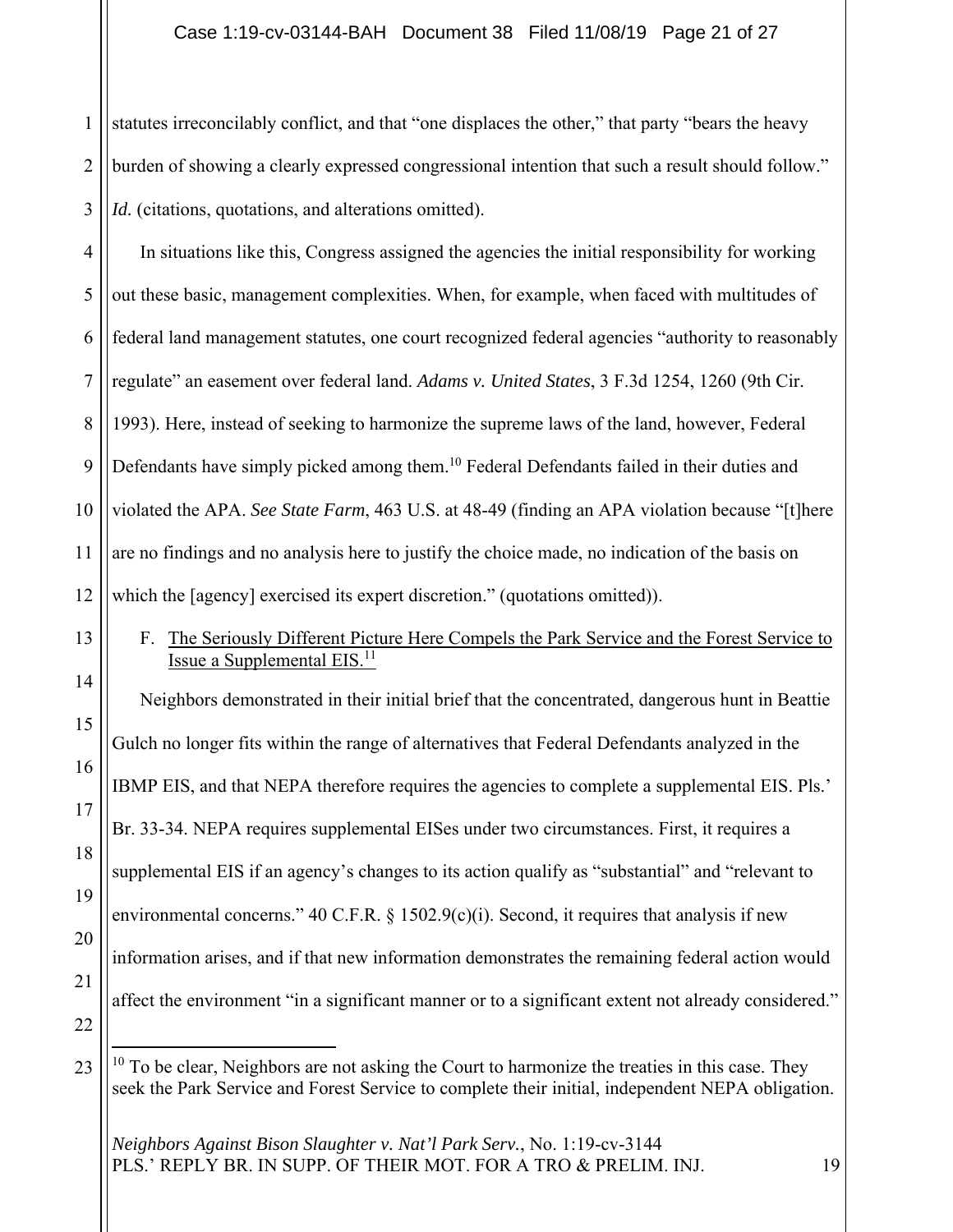1 2 3 statutes irreconcilably conflict, and that "one displaces the other," that party "bears the heavy burden of showing a clearly expressed congressional intention that such a result should follow." *Id.* (citations, quotations, and alterations omitted).

4 5 6 7 8 9 10 11 12 In situations like this, Congress assigned the agencies the initial responsibility for working out these basic, management complexities. When, for example, when faced with multitudes of federal land management statutes, one court recognized federal agencies "authority to reasonably regulate" an easement over federal land. *Adams v. United States*, 3 F.3d 1254, 1260 (9th Cir. 1993). Here, instead of seeking to harmonize the supreme laws of the land, however, Federal Defendants have simply picked among them.<sup>10</sup> Federal Defendants failed in their duties and violated the APA. *See State Farm*, 463 U.S. at 48-49 (finding an APA violation because "[t]here are no findings and no analysis here to justify the choice made, no indication of the basis on which the [agency] exercised its expert discretion." (quotations omitted)).

14

15

17

13

F. The Seriously Different Picture Here Compels the Park Service and the Forest Service to Issue a Supplemental EIS.11

16 18 19 Neighbors demonstrated in their initial brief that the concentrated, dangerous hunt in Beattie Gulch no longer fits within the range of alternatives that Federal Defendants analyzed in the IBMP EIS, and that NEPA therefore requires the agencies to complete a supplemental EIS. Pls.' Br. 33-34. NEPA requires supplemental EISes under two circumstances. First, it requires a supplemental EIS if an agency's changes to its action qualify as "substantial" and "relevant to environmental concerns." 40 C.F.R.  $\S$  1502.9(c)(i). Second, it requires that analysis if new information arises, and if that new information demonstrates the remaining federal action would affect the environment "in a significant manner or to a significant extent not already considered."

22 23

20

21

 $10$  To be clear, Neighbors are not asking the Court to harmonize the treaties in this case. They seek the Park Service and Forest Service to complete their initial, independent NEPA obligation.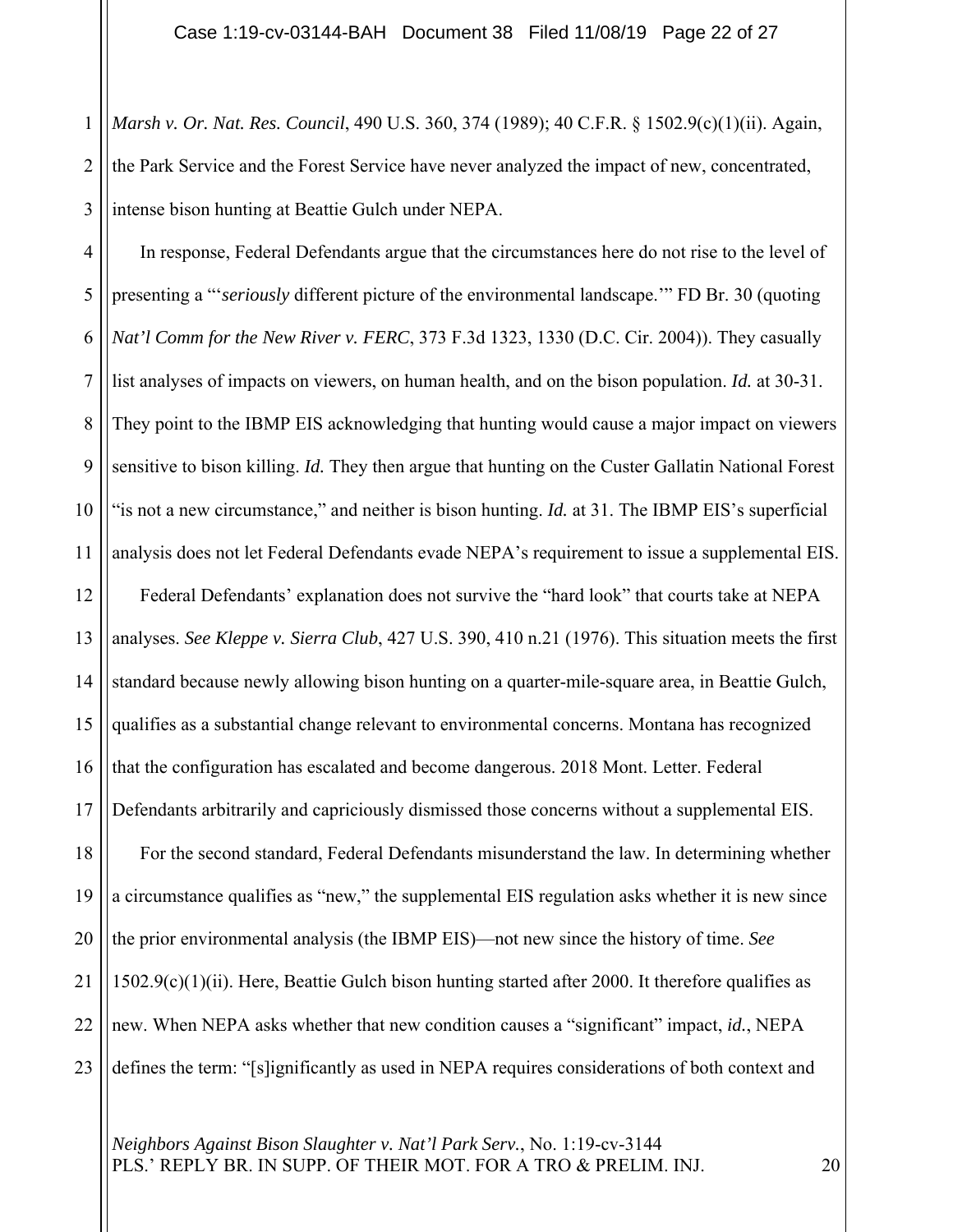1 2 3 *Marsh v. Or. Nat. Res. Council*, 490 U.S. 360, 374 (1989); 40 C.F.R. § 1502.9(c)(1)(ii). Again, the Park Service and the Forest Service have never analyzed the impact of new, concentrated, intense bison hunting at Beattie Gulch under NEPA.

4 5 6 7 8 9 10 11 12 13 14 15 16 17 18 19 20 21 22 23 In response, Federal Defendants argue that the circumstances here do not rise to the level of presenting a "'*seriously* different picture of the environmental landscape.'" FD Br. 30 (quoting *Nat'l Comm for the New River v. FERC*, 373 F.3d 1323, 1330 (D.C. Cir. 2004)). They casually list analyses of impacts on viewers, on human health, and on the bison population. *Id.* at 30-31. They point to the IBMP EIS acknowledging that hunting would cause a major impact on viewers sensitive to bison killing. *Id.* They then argue that hunting on the Custer Gallatin National Forest "is not a new circumstance," and neither is bison hunting. *Id.* at 31. The IBMP EIS's superficial analysis does not let Federal Defendants evade NEPA's requirement to issue a supplemental EIS. Federal Defendants' explanation does not survive the "hard look" that courts take at NEPA analyses. *See Kleppe v. Sierra Club*, 427 U.S. 390, 410 n.21 (1976). This situation meets the first standard because newly allowing bison hunting on a quarter-mile-square area, in Beattie Gulch, qualifies as a substantial change relevant to environmental concerns. Montana has recognized that the configuration has escalated and become dangerous. 2018 Mont. Letter. Federal Defendants arbitrarily and capriciously dismissed those concerns without a supplemental EIS. For the second standard, Federal Defendants misunderstand the law. In determining whether a circumstance qualifies as "new," the supplemental EIS regulation asks whether it is new since the prior environmental analysis (the IBMP EIS)—not new since the history of time. *See*   $1502.9(c)(1)(ii)$ . Here, Beattie Gulch bison hunting started after 2000. It therefore qualifies as new. When NEPA asks whether that new condition causes a "significant" impact, *id.*, NEPA defines the term: "[s]ignificantly as used in NEPA requires considerations of both context and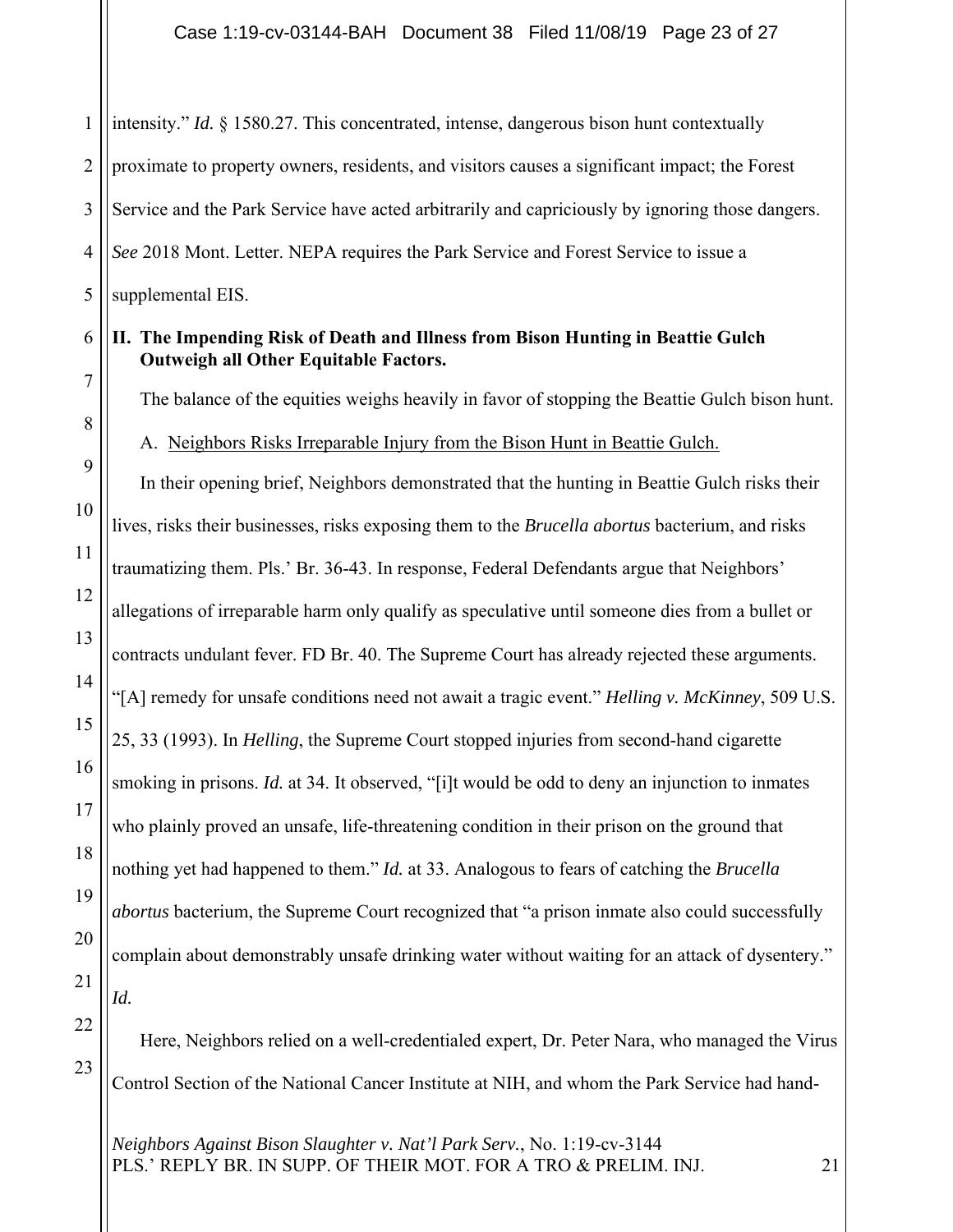| 1              | intensity." <i>Id.</i> § 1580.27. This concentrated, intense, dangerous bison hunt contextually                                 |
|----------------|---------------------------------------------------------------------------------------------------------------------------------|
| $\overline{2}$ | proximate to property owners, residents, and visitors causes a significant impact; the Forest                                   |
| 3              | Service and the Park Service have acted arbitrarily and capriciously by ignoring those dangers.                                 |
| $\overline{4}$ | See 2018 Mont. Letter. NEPA requires the Park Service and Forest Service to issue a                                             |
| 5              | supplemental EIS.                                                                                                               |
| 6              | II. The Impending Risk of Death and Illness from Bison Hunting in Beattie Gulch<br><b>Outweigh all Other Equitable Factors.</b> |
| 7              | The balance of the equities weighs heavily in favor of stopping the Beattie Gulch bison hunt.                                   |
| 8              | A. Neighbors Risks Irreparable Injury from the Bison Hunt in Beattie Gulch.                                                     |
| 9              | In their opening brief, Neighbors demonstrated that the hunting in Beattie Gulch risks their                                    |
| 10             | lives, risks their businesses, risks exposing them to the <i>Brucella abortus</i> bacterium, and risks                          |
| 11             | traumatizing them. Pls.' Br. 36-43. In response, Federal Defendants argue that Neighbors'                                       |
| 12             | allegations of irreparable harm only qualify as speculative until someone dies from a bullet or                                 |
| 13             | contracts undulant fever. FD Br. 40. The Supreme Court has already rejected these arguments.                                    |
| 14             | "[A] remedy for unsafe conditions need not await a tragic event." Helling v. McKinney, 509 U.S.                                 |
| 15             | 25, 33 (1993). In Helling, the Supreme Court stopped injuries from second-hand cigarette                                        |
| 16             | smoking in prisons. Id. at 34. It observed, "[i]t would be odd to deny an injunction to inmates                                 |
| 17             | who plainly proved an unsafe, life-threatening condition in their prison on the ground that                                     |
| 18             | nothing yet had happened to them." Id. at 33. Analogous to fears of catching the Brucella                                       |
| 19             | abortus bacterium, the Supreme Court recognized that "a prison inmate also could successfully                                   |
| 20             | complain about demonstrably unsafe drinking water without waiting for an attack of dysentery."                                  |
| 21             | Id.                                                                                                                             |
| 22             | Here, Neighbors relied on a well-credentialed expert, Dr. Peter Nara, who managed the Virus                                     |
| 23             | Control Section of the National Cancer Institute at NIH, and whom the Park Service had hand-                                    |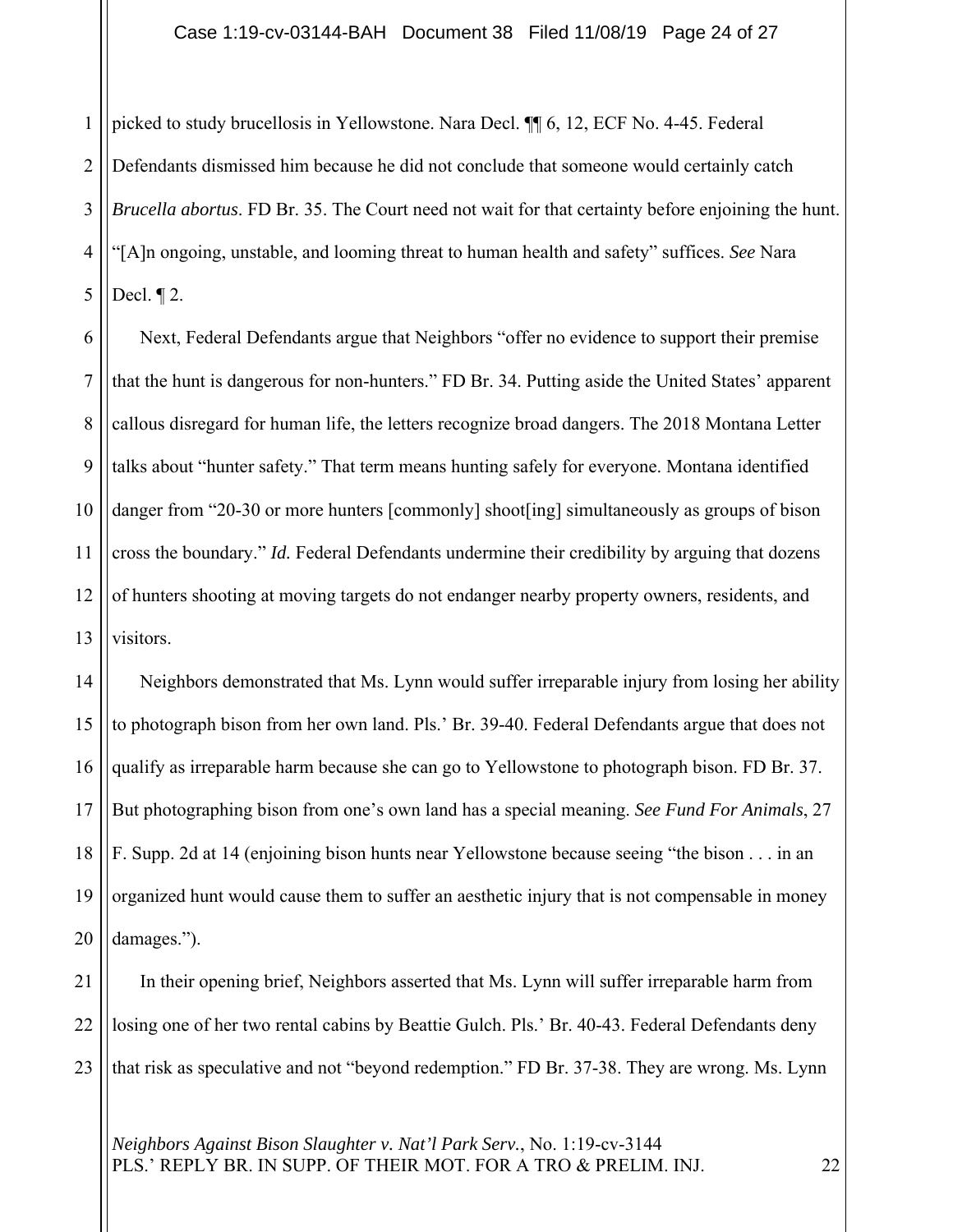1 2 3 4 5 picked to study brucellosis in Yellowstone. Nara Decl. ¶¶ 6, 12, ECF No. 4-45. Federal Defendants dismissed him because he did not conclude that someone would certainly catch *Brucella abortus*. FD Br. 35. The Court need not wait for that certainty before enjoining the hunt. "[A]n ongoing, unstable, and looming threat to human health and safety" suffices. *See* Nara Decl. ¶ 2.

6 7 8 9 10 11 12 13 Next, Federal Defendants argue that Neighbors "offer no evidence to support their premise that the hunt is dangerous for non-hunters." FD Br. 34. Putting aside the United States' apparent callous disregard for human life, the letters recognize broad dangers. The 2018 Montana Letter talks about "hunter safety." That term means hunting safely for everyone. Montana identified danger from "20-30 or more hunters [commonly] shoot[ing] simultaneously as groups of bison cross the boundary." *Id.* Federal Defendants undermine their credibility by arguing that dozens of hunters shooting at moving targets do not endanger nearby property owners, residents, and visitors.

14 15 16 17 18 19 20 Neighbors demonstrated that Ms. Lynn would suffer irreparable injury from losing her ability to photograph bison from her own land. Pls.' Br. 39-40. Federal Defendants argue that does not qualify as irreparable harm because she can go to Yellowstone to photograph bison. FD Br. 37. But photographing bison from one's own land has a special meaning. *See Fund For Animals*, 27 F. Supp. 2d at 14 (enjoining bison hunts near Yellowstone because seeing "the bison . . . in an organized hunt would cause them to suffer an aesthetic injury that is not compensable in money damages.").

21 22 23 In their opening brief, Neighbors asserted that Ms. Lynn will suffer irreparable harm from losing one of her two rental cabins by Beattie Gulch. Pls.' Br. 40-43. Federal Defendants deny that risk as speculative and not "beyond redemption." FD Br. 37-38. They are wrong. Ms. Lynn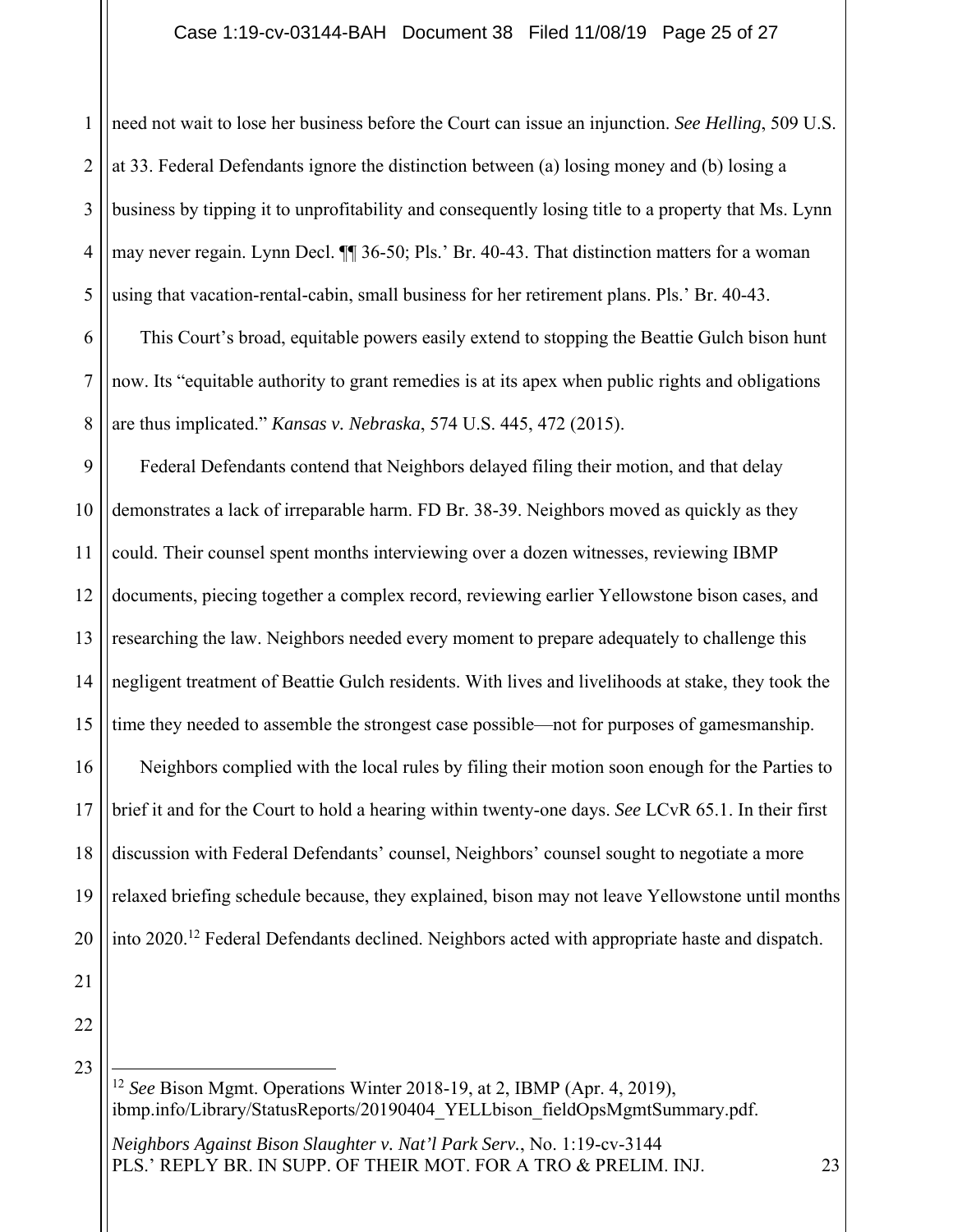### Case 1:19-cv-03144-BAH Document 38 Filed 11/08/19 Page 25 of 27

1 2 3 4 5 6 need not wait to lose her business before the Court can issue an injunction. *See Helling*, 509 U.S. at 33. Federal Defendants ignore the distinction between (a) losing money and (b) losing a business by tipping it to unprofitability and consequently losing title to a property that Ms. Lynn may never regain. Lynn Decl. ¶¶ 36-50; Pls.' Br. 40-43. That distinction matters for a woman using that vacation-rental-cabin, small business for her retirement plans. Pls.' Br. 40-43. This Court's broad, equitable powers easily extend to stopping the Beattie Gulch bison hunt

7 8 now. Its "equitable authority to grant remedies is at its apex when public rights and obligations are thus implicated." *Kansas v. Nebraska*, 574 U.S. 445, 472 (2015).

9 10 11 12 13 14 15 16 17 18 19 20 Federal Defendants contend that Neighbors delayed filing their motion, and that delay demonstrates a lack of irreparable harm. FD Br. 38-39. Neighbors moved as quickly as they could. Their counsel spent months interviewing over a dozen witnesses, reviewing IBMP documents, piecing together a complex record, reviewing earlier Yellowstone bison cases, and researching the law. Neighbors needed every moment to prepare adequately to challenge this negligent treatment of Beattie Gulch residents. With lives and livelihoods at stake, they took the time they needed to assemble the strongest case possible—not for purposes of gamesmanship. Neighbors complied with the local rules by filing their motion soon enough for the Parties to brief it and for the Court to hold a hearing within twenty-one days. *See* LCvR 65.1. In their first discussion with Federal Defendants' counsel, Neighbors' counsel sought to negotiate a more relaxed briefing schedule because, they explained, bison may not leave Yellowstone until months into 2020.12 Federal Defendants declined. Neighbors acted with appropriate haste and dispatch.

22

23

21

<sup>12</sup> *See* Bison Mgmt. Operations Winter 2018-19, at 2, IBMP (Apr. 4, 2019), ibmp.info/Library/StatusReports/20190404 YELLbison fieldOpsMgmtSummary.pdf.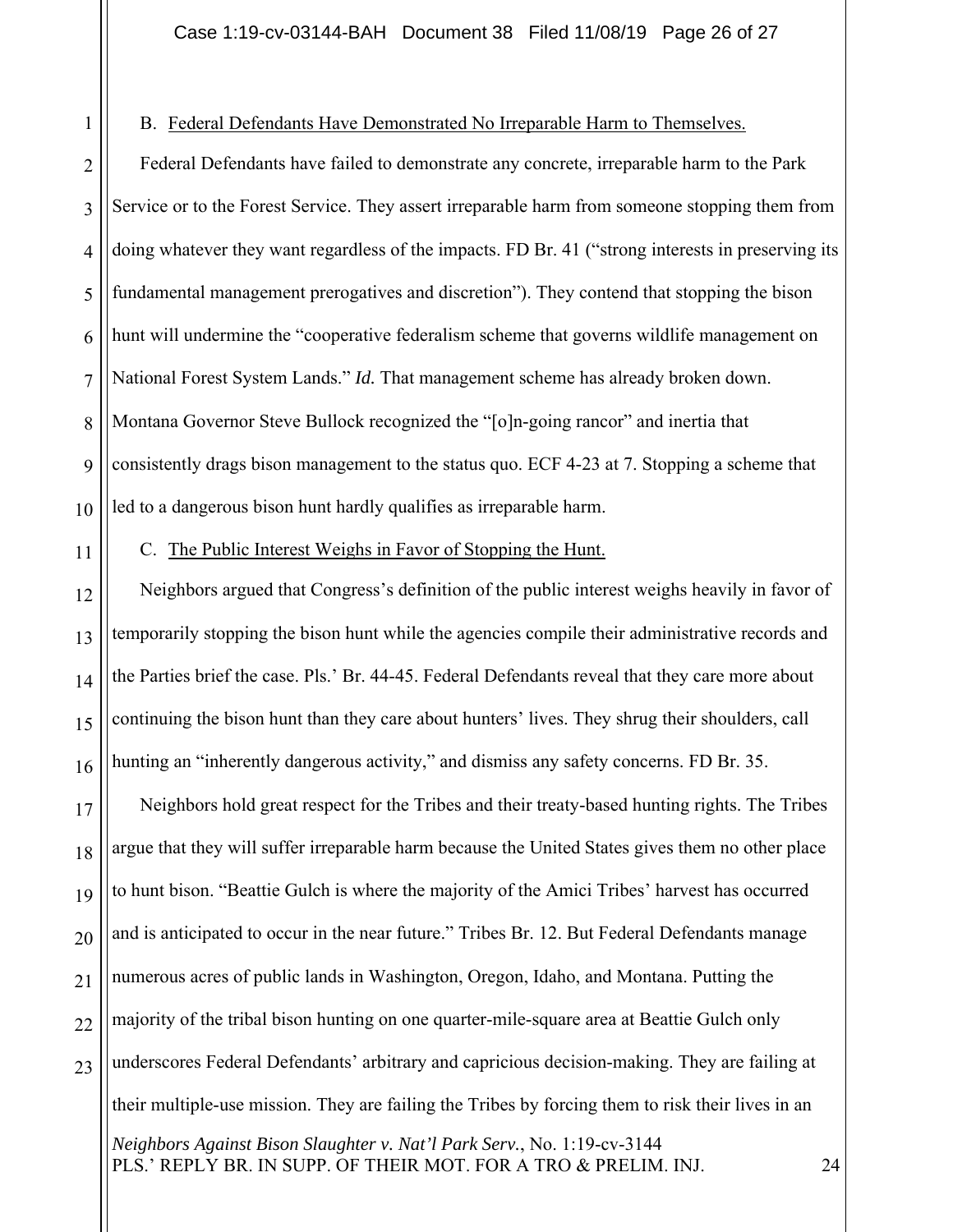B. Federal Defendants Have Demonstrated No Irreparable Harm to Themselves.

2 3 4 5 6 7 8  $\overline{Q}$ 10 Federal Defendants have failed to demonstrate any concrete, irreparable harm to the Park Service or to the Forest Service. They assert irreparable harm from someone stopping them from doing whatever they want regardless of the impacts. FD Br. 41 ("strong interests in preserving its fundamental management prerogatives and discretion"). They contend that stopping the bison hunt will undermine the "cooperative federalism scheme that governs wildlife management on National Forest System Lands." *Id.* That management scheme has already broken down. Montana Governor Steve Bullock recognized the "[o]n-going rancor" and inertia that consistently drags bison management to the status quo. ECF 4-23 at 7. Stopping a scheme that led to a dangerous bison hunt hardly qualifies as irreparable harm.

11

1

C. The Public Interest Weighs in Favor of Stopping the Hunt.

12 13 14 15 16 Neighbors argued that Congress's definition of the public interest weighs heavily in favor of temporarily stopping the bison hunt while the agencies compile their administrative records and the Parties brief the case. Pls.' Br. 44-45. Federal Defendants reveal that they care more about continuing the bison hunt than they care about hunters' lives. They shrug their shoulders, call hunting an "inherently dangerous activity," and dismiss any safety concerns. FD Br. 35.

17 18 19 20 21 22 23 Neighbors hold great respect for the Tribes and their treaty-based hunting rights. The Tribes argue that they will suffer irreparable harm because the United States gives them no other place to hunt bison. "Beattie Gulch is where the majority of the Amici Tribes' harvest has occurred and is anticipated to occur in the near future." Tribes Br. 12. But Federal Defendants manage numerous acres of public lands in Washington, Oregon, Idaho, and Montana. Putting the majority of the tribal bison hunting on one quarter-mile-square area at Beattie Gulch only underscores Federal Defendants' arbitrary and capricious decision-making. They are failing at their multiple-use mission. They are failing the Tribes by forcing them to risk their lives in an